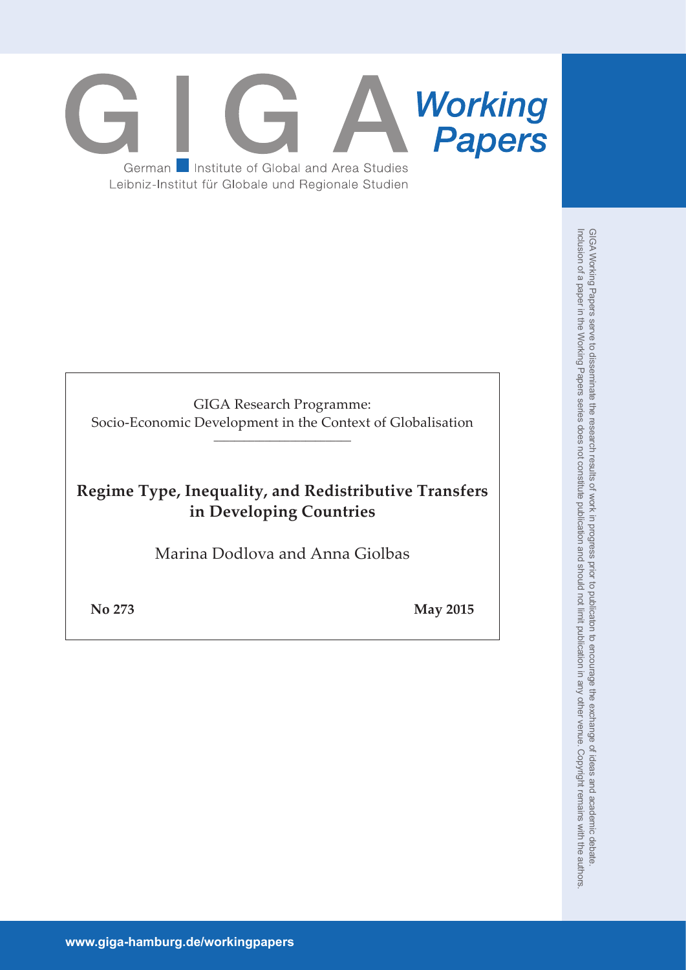# **Working**<br>**Papers** German **Institute of Global and Area Studies** Leibniz-Institut für Globale und Regionale Studien

GIGA Research Programme: Socio-Economic Development in the Context of Globalisation \_\_\_\_\_\_\_\_\_\_\_\_\_\_\_\_\_\_\_\_\_\_\_\_\_\_\_

# **Regime Type, Inequality, and Redistributive Transfers in Developing Countries**

Marina Dodlova and Anna Giolbas

**No 273 May 2015**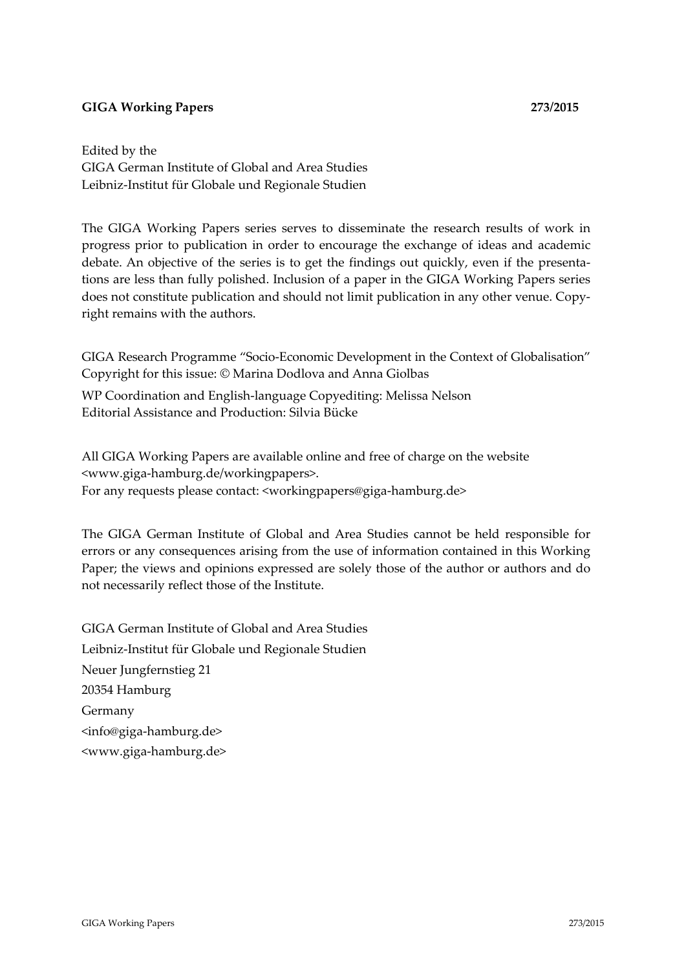# **GIGA Working Papers 273/2015**

Edited by the GIGA German Institute of Global and Area Studies Leibniz‐Institut für Globale und Regionale Studien

The GIGA Working Papers series serves to disseminate the research results of work in progress prior to publication in order to encourage the exchange of ideas and academic debate. An objective of the series is to get the findings out quickly, even if the presenta‐ tions are less than fully polished. Inclusion of a paper in the GIGA Working Papers series does not constitute publication and should not limit publication in any other venue. Copyright remains with the authors.

GIGA Research Programme "Socio‐Economic Development in the Context of Globalisation" Copyright for this issue: © Marina Dodlova and Anna Giolbas

WP Coordination and English‐language Copyediting: Melissa Nelson Editorial Assistance and Production: Silvia Bücke

All GIGA Working Papers are available online and free of charge on the website <www.giga‐hamburg.de/workingpapers>. For any requests please contact: <workingpapers@giga‐hamburg.de>

The GIGA German Institute of Global and Area Studies cannot be held responsible for errors or any consequences arising from the use of information contained in this Working Paper; the views and opinions expressed are solely those of the author or authors and do not necessarily reflect those of the Institute.

GIGA German Institute of Global and Area Studies Leibniz‐Institut für Globale und Regionale Studien Neuer Jungfernstieg 21 20354 Hamburg Germany <info@giga‐hamburg.de> <www.giga‐hamburg.de>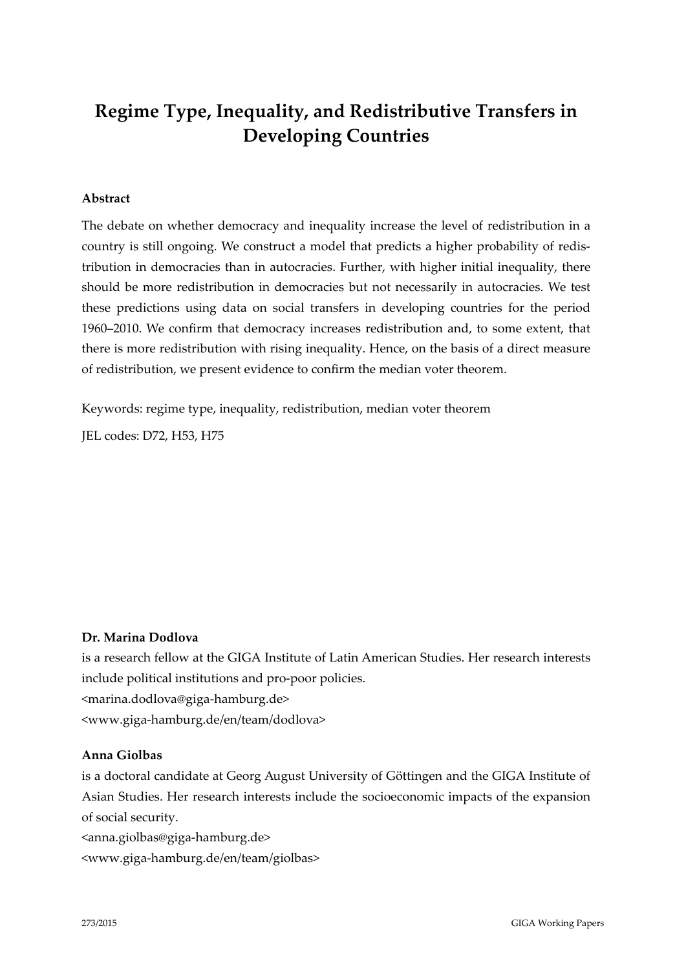# **Regime Type, Inequality, and Redistributive Transfers in Developing Countries**

## **Abstract**

The debate on whether democracy and inequality increase the level of redistribution in a country is still ongoing. We construct a model that predicts a higher probability of redis‐ tribution in democracies than in autocracies. Further, with higher initial inequality, there should be more redistribution in democracies but not necessarily in autocracies. We test these predictions using data on social transfers in developing countries for the period 1960–2010. We confirm that democracy increases redistribution and, to some extent, that there is more redistribution with rising inequality. Hence, on the basis of a direct measure of redistribution, we present evidence to confirm the median voter theorem.

Keywords: regime type, inequality, redistribution, median voter theorem

JEL codes: D72, H53, H75

#### **Dr. Marina Dodlova**

is a research fellow at the GIGA Institute of Latin American Studies. Her research interests include political institutions and pro‐poor policies. <marina.dodlova@giga‐hamburg.de> <www.giga‐hamburg.de/en/team/dodlova>

## **Anna Giolbas**

is a doctoral candidate at Georg August University of Göttingen and the GIGA Institute of Asian Studies. Her research interests include the socioeconomic impacts of the expansion of social security.

<anna.giolbas@giga‐hamburg.de>

<www.giga‐hamburg.de/en/team/giolbas>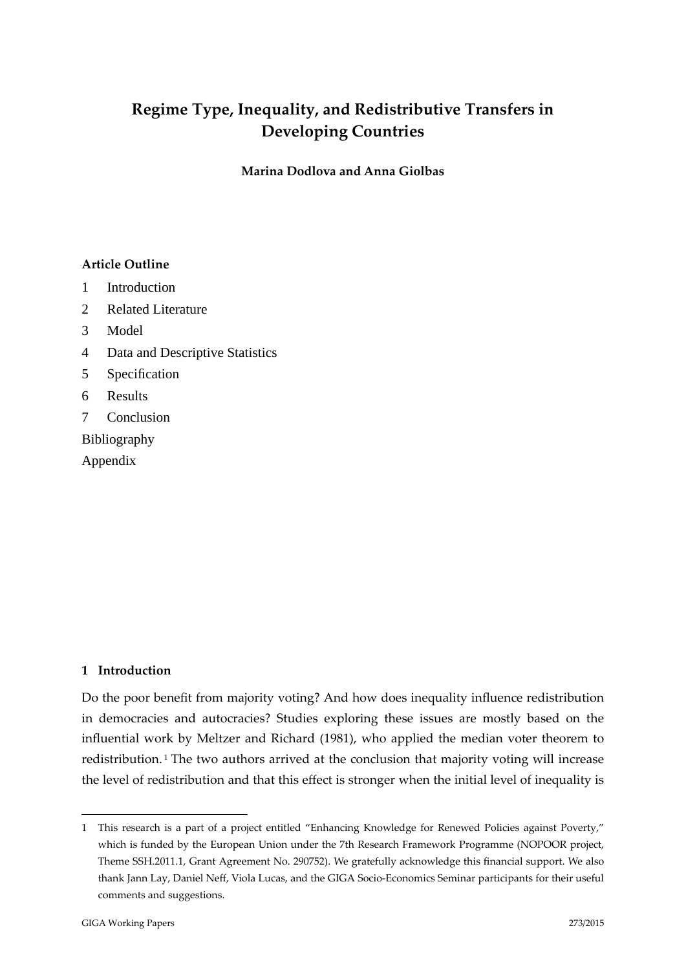# **Regime Type, Inequality, and Redistributive Transfers in Developing Countries**

**Marina Dodlova and Anna Giolbas**

# **Article Outline**

- 1 Introduction
- 2 Related Literature
- 3 Model
- 4 Data and Descriptive Statistics
- 5 Specification
- 6 Results
- 7 Conclusion

Bibliography

Appendix

# **1 Introduction**

Do the poor benefit from majority voting? And how does inequality influence redistribution in democracies and autocracies? Studies exploring these issues are mostly based on the influential work by Meltzer and Richard (1981), who applied the median voter theorem to redistribution.<sup>1</sup> The two authors arrived at the conclusion that majority voting will increase the level of redistribution and that this effect is stronger when the initial level of inequality is

<sup>1</sup> This research is a part of a project entitled "Enhancing Knowledge for Renewed Policies against Poverty," which is funded by the European Union under the 7th Research Framework Programme (NOPOOR project, Theme SSH.2011.1, Grant Agreement No. 290752). We gratefully acknowledge this financial support. We also thank Jann Lay, Daniel Neff, Viola Lucas, and the GIGA Socio‐Economics Seminar participants for their useful comments and suggestions.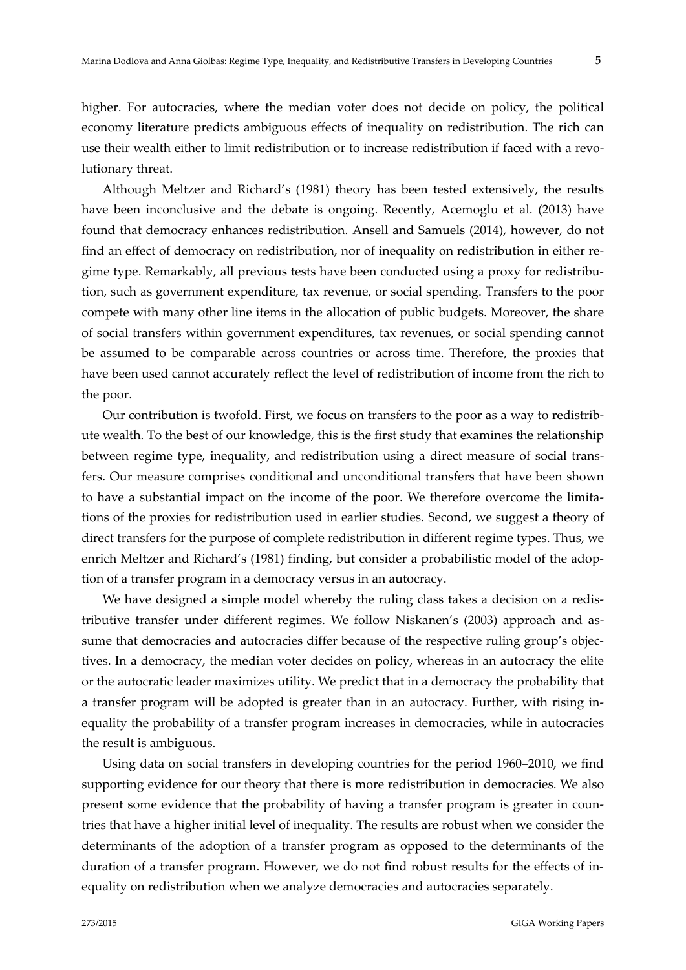higher. For autocracies, where the median voter does not decide on policy, the political economy literature predicts ambiguous effects of inequality on redistribution. The rich can use their wealth either to limit redistribution or to increase redistribution if faced with a revolutionary threat.

Although Meltzer and Richard's (1981) theory has been tested extensively, the results have been inconclusive and the debate is ongoing. Recently, Acemoglu et al. (2013) have found that democracy enhances redistribution. Ansell and Samuels (2014), however, do not find an effect of democracy on redistribution, nor of inequality on redistribution in either regime type. Remarkably, all previous tests have been conducted using a proxy for redistribution, such as government expenditure, tax revenue, or social spending. Transfers to the poor compete with many other line items in the allocation of public budgets. Moreover, the share of social transfers within government expenditures, tax revenues, or social spending cannot be assumed to be comparable across countries or across time. Therefore, the proxies that have been used cannot accurately reflect the level of redistribution of income from the rich to the poor.

Our contribution is twofold. First, we focus on transfers to the poor as a way to redistrib‐ ute wealth. To the best of our knowledge, this is the first study that examines the relationship between regime type, inequality, and redistribution using a direct measure of social transfers. Our measure comprises conditional and unconditional transfers that have been shown to have a substantial impact on the income of the poor. We therefore overcome the limitations of the proxies for redistribution used in earlier studies. Second, we suggest a theory of direct transfers for the purpose of complete redistribution in different regime types. Thus, we enrich Meltzer and Richard's (1981) finding, but consider a probabilistic model of the adoption of a transfer program in a democracy versus in an autocracy.

We have designed a simple model whereby the ruling class takes a decision on a redistributive transfer under different regimes. We follow Niskanen's (2003) approach and assume that democracies and autocracies differ because of the respective ruling group's objectives. In a democracy, the median voter decides on policy, whereas in an autocracy the elite or the autocratic leader maximizes utility. We predict that in a democracy the probability that a transfer program will be adopted is greater than in an autocracy. Further, with rising in‐ equality the probability of a transfer program increases in democracies, while in autocracies the result is ambiguous.

Using data on social transfers in developing countries for the period 1960–2010, we find supporting evidence for our theory that there is more redistribution in democracies. We also present some evidence that the probability of having a transfer program is greater in countries that have a higher initial level of inequality. The results are robust when we consider the determinants of the adoption of a transfer program as opposed to the determinants of the duration of a transfer program. However, we do not find robust results for the effects of in‐ equality on redistribution when we analyze democracies and autocracies separately.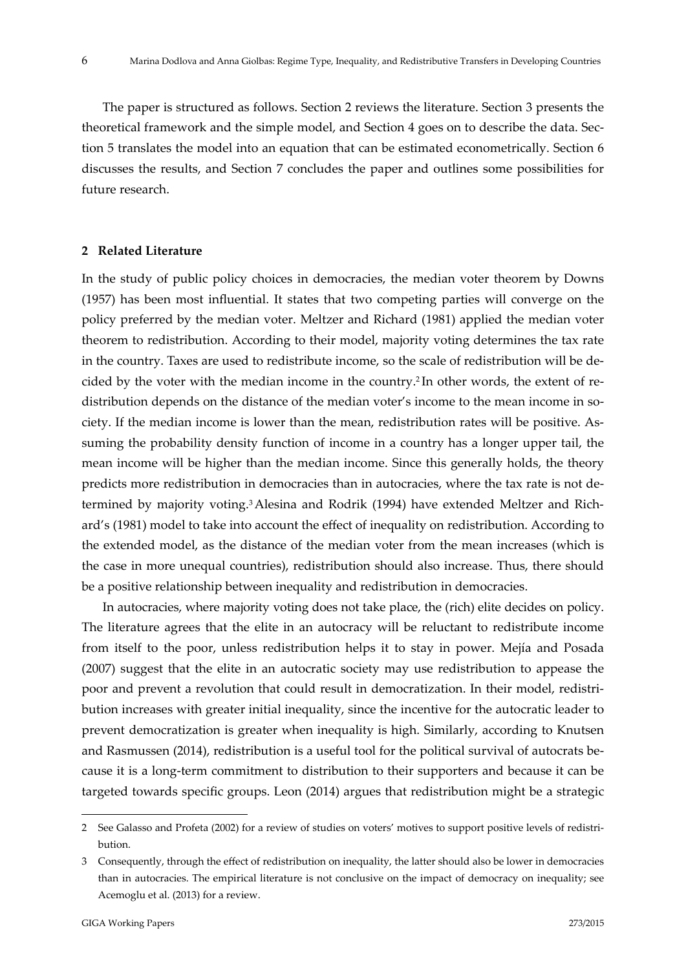The paper is structured as follows. Section 2 reviews the literature. Section 3 presents the theoretical framework and the simple model, and Section 4 goes on to describe the data. Sec‐ tion 5 translates the model into an equation that can be estimated econometrically. Section 6 discusses the results, and Section 7 concludes the paper and outlines some possibilities for future research.

#### **2 Related Literature**

In the study of public policy choices in democracies, the median voter theorem by Downs (1957) has been most influential. It states that two competing parties will converge on the policy preferred by the median voter. Meltzer and Richard (1981) applied the median voter theorem to redistribution. According to their model, majority voting determines the tax rate in the country. Taxes are used to redistribute income, so the scale of redistribution will be de‐ cided by the voter with the median income in the country.<sup>2</sup> In other words, the extent of redistribution depends on the distance of the median voter's income to the mean income in society. If the median income is lower than the mean, redistribution rates will be positive. As‐ suming the probability density function of income in a country has a longer upper tail, the mean income will be higher than the median income. Since this generally holds, the theory predicts more redistribution in democracies than in autocracies, where the tax rate is not determined by majority voting.<sup>3</sup> Alesina and Rodrik (1994) have extended Meltzer and Richard's (1981) model to take into account the effect of inequality on redistribution. According to the extended model, as the distance of the median voter from the mean increases (which is the case in more unequal countries), redistribution should also increase. Thus, there should be a positive relationship between inequality and redistribution in democracies.

In autocracies, where majority voting does not take place, the (rich) elite decides on policy. The literature agrees that the elite in an autocracy will be reluctant to redistribute income from itself to the poor, unless redistribution helps it to stay in power. Mejía and Posada (2007) suggest that the elite in an autocratic society may use redistribution to appease the poor and prevent a revolution that could result in democratization. In their model, redistribution increases with greater initial inequality, since the incentive for the autocratic leader to prevent democratization is greater when inequality is high. Similarly, according to Knutsen and Rasmussen (2014), redistribution is a useful tool for the political survival of autocrats be‐ cause it is a long‐term commitment to distribution to their supporters and because it can be targeted towards specific groups. Leon (2014) argues that redistribution might be a strategic

<sup>2</sup> See Galasso and Profeta (2002) for a review of studies on voters' motives to support positive levels of redistribution.

<sup>3</sup> Consequently, through the effect of redistribution on inequality, the latter should also be lower in democracies than in autocracies. The empirical literature is not conclusive on the impact of democracy on inequality; see Acemoglu et al. (2013) for a review.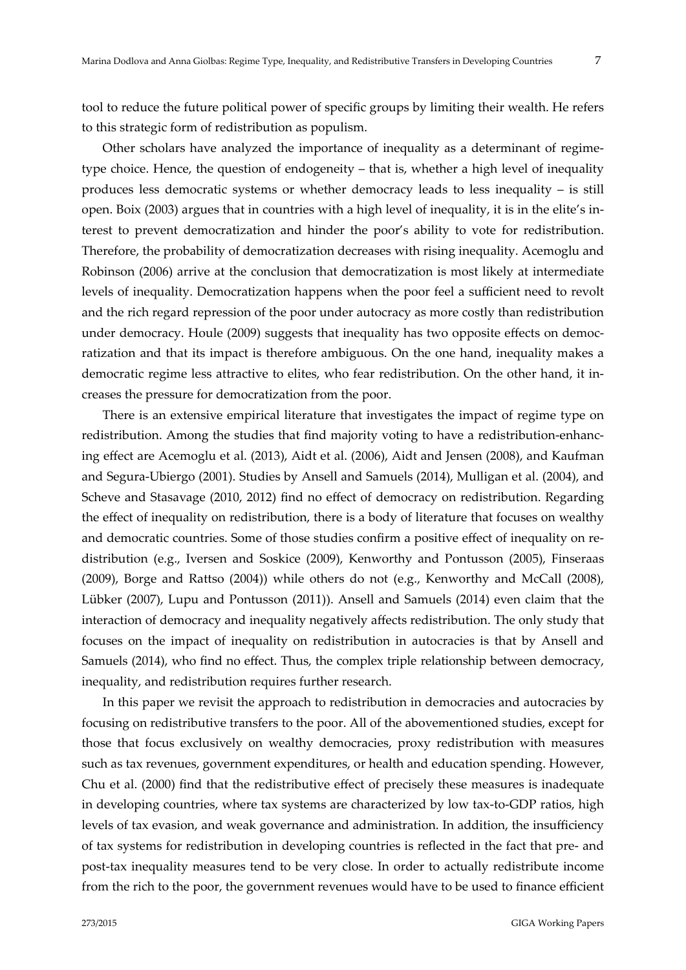tool to reduce the future political power of specific groups by limiting their wealth. He refers to this strategic form of redistribution as populism.

Other scholars have analyzed the importance of inequality as a determinant of regime‐ type choice. Hence, the question of endogeneity – that is, whether a high level of inequality produces less democratic systems or whether democracy leads to less inequality – is still open. Boix (2003) argues that in countries with a high level of inequality, it is in the elite's in‐ terest to prevent democratization and hinder the poor's ability to vote for redistribution. Therefore, the probability of democratization decreases with rising inequality. Acemoglu and Robinson (2006) arrive at the conclusion that democratization is most likely at intermediate levels of inequality. Democratization happens when the poor feel a sufficient need to revolt and the rich regard repression of the poor under autocracy as more costly than redistribution under democracy. Houle (2009) suggests that inequality has two opposite effects on democratization and that its impact is therefore ambiguous. On the one hand, inequality makes a democratic regime less attractive to elites, who fear redistribution. On the other hand, it increases the pressure for democratization from the poor.

There is an extensive empirical literature that investigates the impact of regime type on redistribution. Among the studies that find majority voting to have a redistribution-enhancing effect are Acemoglu et al. (2013), Aidt et al. (2006), Aidt and Jensen (2008), and Kaufman and Segura‐Ubiergo (2001). Studies by Ansell and Samuels (2014), Mulligan et al. (2004), and Scheve and Stasavage (2010, 2012) find no effect of democracy on redistribution. Regarding the effect of inequality on redistribution, there is a body of literature that focuses on wealthy and democratic countries. Some of those studies confirm a positive effect of inequality on redistribution (e.g., Iversen and Soskice (2009), Kenworthy and Pontusson (2005), Finseraas (2009), Borge and Rattso (2004)) while others do not (e.g., Kenworthy and McCall (2008), Lübker (2007), Lupu and Pontusson (2011)). Ansell and Samuels (2014) even claim that the interaction of democracy and inequality negatively affects redistribution. The only study that focuses on the impact of inequality on redistribution in autocracies is that by Ansell and Samuels (2014), who find no effect. Thus, the complex triple relationship between democracy, inequality, and redistribution requires further research.

In this paper we revisit the approach to redistribution in democracies and autocracies by focusing on redistributive transfers to the poor. All of the abovementioned studies, except for those that focus exclusively on wealthy democracies, proxy redistribution with measures such as tax revenues, government expenditures, or health and education spending. However, Chu et al. (2000) find that the redistributive effect of precisely these measures is inadequate in developing countries, where tax systems are characterized by low tax-to-GDP ratios, high levels of tax evasion, and weak governance and administration. In addition, the insufficiency of tax systems for redistribution in developing countries is reflected in the fact that pre‐ and post-tax inequality measures tend to be very close. In order to actually redistribute income from the rich to the poor, the government revenues would have to be used to finance efficient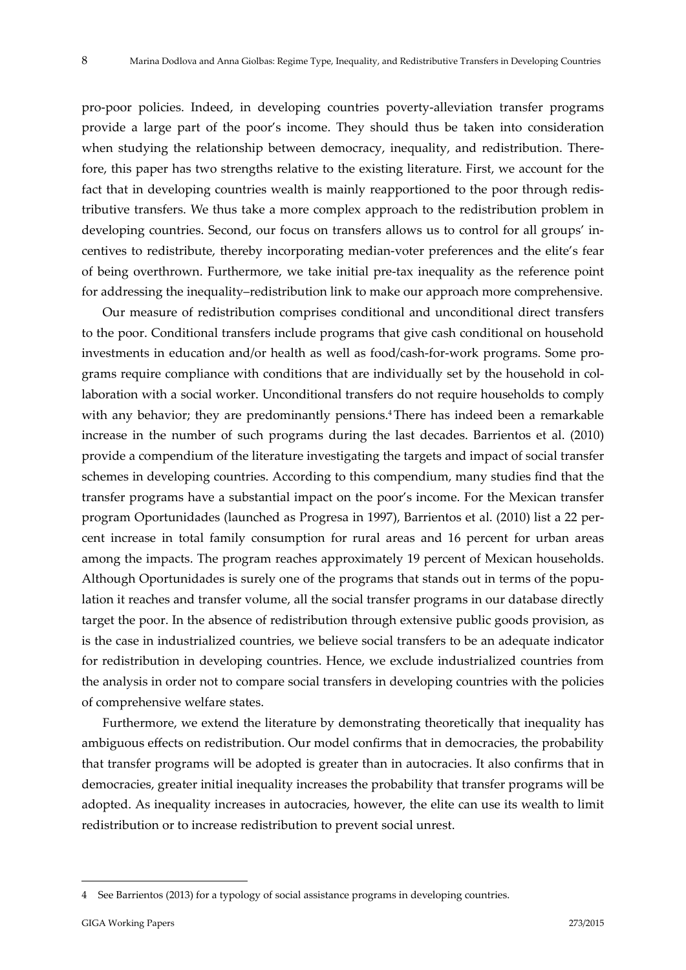pro‐poor policies. Indeed, in developing countries poverty‐alleviation transfer programs provide a large part of the poor's income. They should thus be taken into consideration when studying the relationship between democracy, inequality, and redistribution. Therefore, this paper has two strengths relative to the existing literature. First, we account for the fact that in developing countries wealth is mainly reapportioned to the poor through redis‐ tributive transfers. We thus take a more complex approach to the redistribution problem in developing countries. Second, our focus on transfers allows us to control for all groups' in‐ centives to redistribute, thereby incorporating median‐voter preferences and the elite's fear of being overthrown. Furthermore, we take initial pre‐tax inequality as the reference point for addressing the inequality–redistribution link to make our approach more comprehensive.

Our measure of redistribution comprises conditional and unconditional direct transfers to the poor. Conditional transfers include programs that give cash conditional on household investments in education and/or health as well as food/cash-for-work programs. Some programs require compliance with conditions that are individually set by the household in collaboration with a social worker. Unconditional transfers do not require households to comply with any behavior; they are predominantly pensions.<sup>4</sup>There has indeed been a remarkable increase in the number of such programs during the last decades. Barrientos et al. (2010) provide a compendium of the literature investigating the targets and impact of social transfer schemes in developing countries. According to this compendium, many studies find that the transfer programs have a substantial impact on the poor's income. For the Mexican transfer program Oportunidades (launched as Progresa in 1997), Barrientos et al. (2010) list a 22 per‐ cent increase in total family consumption for rural areas and 16 percent for urban areas among the impacts. The program reaches approximately 19 percent of Mexican households. Although Oportunidades is surely one of the programs that stands out in terms of the popu‐ lation it reaches and transfer volume, all the social transfer programs in our database directly target the poor. In the absence of redistribution through extensive public goods provision, as is the case in industrialized countries, we believe social transfers to be an adequate indicator for redistribution in developing countries. Hence, we exclude industrialized countries from the analysis in order not to compare social transfers in developing countries with the policies of comprehensive welfare states.

Furthermore, we extend the literature by demonstrating theoretically that inequality has ambiguous effects on redistribution. Our model confirms that in democracies, the probability that transfer programs will be adopted is greater than in autocracies. It also confirms that in democracies, greater initial inequality increases the probability that transfer programs will be adopted. As inequality increases in autocracies, however, the elite can use its wealth to limit redistribution or to increase redistribution to prevent social unrest.

<sup>4</sup> See Barrientos (2013) for a typology of social assistance programs in developing countries.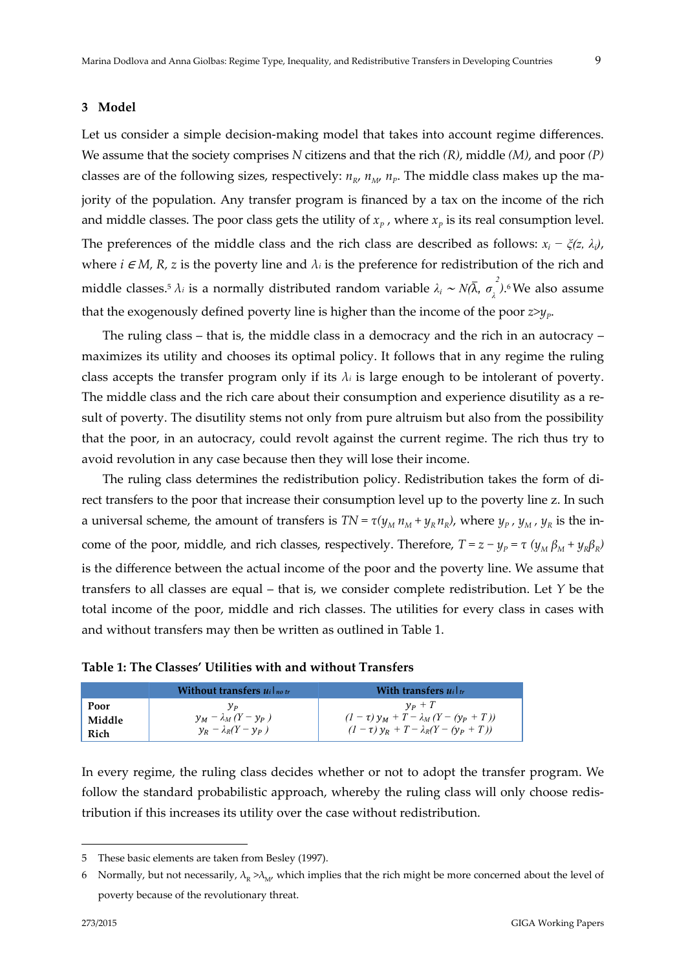#### **3 Model**

Let us consider a simple decision-making model that takes into account regime differences. We assume that the society comprises *N* citizens and that the rich *(R)*, middle *(M)*, and poor *(P)* classes are of the following sizes, respectively:  $n_{R}$ ,  $n_{M}$ ,  $n_{P}$ . The middle class makes up the majority of the population. Any transfer program is financed by a tax on the income of the rich and middle classes. The poor class gets the utility of  $x_p$ , where  $x_p$  is its real consumption level. The preferences of the middle class and the rich class are described as follows:  $x_i - \xi(z, \lambda_i)$ , where  $i \in M$ ,  $R$ ,  $z$  is the poverty line and  $\lambda_i$  is the preference for redistribution of the rich and middle classes.<sup>5</sup>  $\lambda_i$  is a normally distributed random variable  $\lambda_i \sim N(\bar{\lambda},\ \sigma_{\lambda}^{\;\;2}).^6$ We also assume that the exogenously defined poverty line is higher than the income of the poor  $z \geq v_p$ .

The ruling class – that is, the middle class in a democracy and the rich in an autocracy – maximizes its utility and chooses its optimal policy. It follows that in any regime the ruling class accepts the transfer program only if its  $\lambda_i$  is large enough to be intolerant of poverty. The middle class and the rich care about their consumption and experience disutility as a result of poverty. The disutility stems not only from pure altruism but also from the possibility that the poor, in an autocracy, could revolt against the current regime. The rich thus try to avoid revolution in any case because then they will lose their income.

The ruling class determines the redistribution policy. Redistribution takes the form of di‐ rect transfers to the poor that increase their consumption level up to the poverty line z. In such a universal scheme, the amount of transfers is  $TN = \tau(y_M n_M + y_R n_R)$ , where  $y_P$ ,  $y_M$ ,  $y_R$  is the income of the poor, middle, and rich classes, respectively. Therefore,  $T = z - y_P = \tau (y_M \beta_M + y_R \beta_R)$ is the difference between the actual income of the poor and the poverty line. We assume that transfers to all classes are equal – that is, we consider complete redistribution. Let *Y* be the total income of the poor, middle and rich classes. The utilities for every class in cases with and without transfers may then be written as outlined in Table 1.

|      | Without transfers $u_i _{no\,tr}$ | With transfers $u_i _{tr}$ |
|------|-----------------------------------|----------------------------|
| Poor |                                   | $v_p + T$                  |

| Table 1: The Classes' Utilities with and without Transfers |  |
|------------------------------------------------------------|--|
|------------------------------------------------------------|--|

 $y_M - \lambda_M (Y - y_P)$  $y_R - \lambda_R(Y - y_P)$ 

| In every regime, the ruling class decides whether or not to adopt the transfer program. We   |
|----------------------------------------------------------------------------------------------|
| follow the standard probabilistic approach, whereby the ruling class will only choose redis- |
| tribution if this increases its utility over the case without redistribution.                |

 $(1 - \tau) y_M + T - \lambda_M (Y - (y_P + T))$  $(T - \tau) y_R + T - \lambda_R (Y - (y_P + T))$ 

1

**Middle Rich**

<sup>5</sup> These basic elements are taken from Besley (1997).

<sup>6</sup> Normally, but not necessarily,  $\lambda_R > \lambda_M$ , which implies that the rich might be more concerned about the level of poverty because of the revolutionary threat.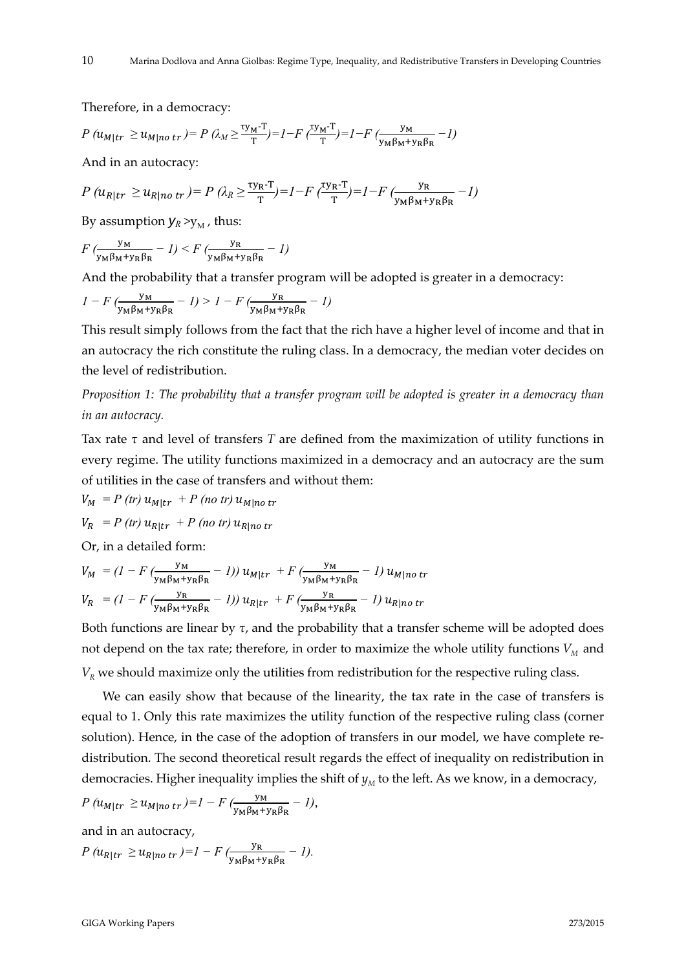Therefore, in a democracy:

$$
P\left(u_{M|tr} \ge u_{M|no\;tr}\right) = P\left(\lambda_M \ge \frac{\tau y_M \cdot T}{T}\right) = I - F\left(\frac{\tau y_M \cdot T}{T}\right) = I - F\left(\frac{y_M}{y_M \beta_M + y_R \beta_R} - I\right)
$$

And in an autocracy:

$$
P\left(u_{R|tr} \ge u_{R|no\;tr}\right) = P\left(\lambda_{R} \ge \frac{\tau y_{R} \cdot T}{T}\right) = I - F\left(\frac{\tau y_{R} \cdot T}{T}\right) = I - F\left(\frac{y_{R}}{y_{M} \beta_{M} + y_{R} \beta_{R}} - I\right)
$$

By assumption  $y_R > y_M$ , thus:

$$
F\left(\frac{y_M}{y_M\beta_M+y_R\beta_R}-1\right)
$$

And the probability that a transfer program will be adopted is greater in a democracy:

$$
I - F\left(\frac{y_M}{y_M \beta_M + y_R \beta_R} - 1\right) > I - F\left(\frac{y_R}{y_M \beta_M + y_R \beta_R} - 1\right)
$$

This result simply follows from the fact that the rich have a higher level of income and that in an autocracy the rich constitute the ruling class. In a democracy, the median voter decides on the level of redistribution.

*Proposition 1: The probability that a transfer program will be adopted is greater in a democracy than in an autocracy.* 

Tax rate *τ* and level of transfers *T* are defined from the maximization of utility functions in every regime. The utility functions maximized in a democracy and an autocracy are the sum of utilities in the case of transfers and without them:

$$
V_M = P (tr) u_{M|tr} + P (no tr) u_{M|no tr}
$$
  

$$
V_R = P (tr) u_{R|tr} + P (no tr) u_{R|no tr}
$$

Or, in a detailed form:

$$
V_M = (I - F \left( \frac{y_M}{y_M \beta_M + y_R \beta_R} - I \right)) u_{M|tr} + F \left( \frac{y_M}{y_M \beta_M + y_R \beta_R} - I \right) u_{M|no\ tr}
$$
  

$$
V_R = (I - F \left( \frac{y_R}{y_M \beta_M + y_R \beta_R} - I \right)) u_{R|tr} + F \left( \frac{y_R}{y_M \beta_M + y_R \beta_R} - I \right) u_{R|no\ tr}
$$

Both functions are linear by *τ*, and the probability that a transfer scheme will be adopted does not depend on the tax rate; therefore, in order to maximize the whole utility functions  $V_M$  and  $V_R$  we should maximize only the utilities from redistribution for the respective ruling class.

We can easily show that because of the linearity, the tax rate in the case of transfers is equal to 1. Only this rate maximizes the utility function of the respective ruling class (corner solution). Hence, in the case of the adoption of transfers in our model, we have complete redistribution. The second theoretical result regards the effect of inequality on redistribution in democracies. Higher inequality implies the shift of  $y<sub>M</sub>$  to the left. As we know, in a democracy,

$$
P\left(u_{M|tr} \geq u_{M|no\;tr}\right) = I - F\left(\frac{y_M}{y_M\beta_M + y_R\beta_R} - I\right),\,
$$

and in an autocracy,

$$
P\left(u_{R|tr} \geq u_{R|no\;tr}\right) = I - F\left(\frac{y_{R}}{y_{M}\beta_{M} + y_{R}\beta_{R}} - I\right).
$$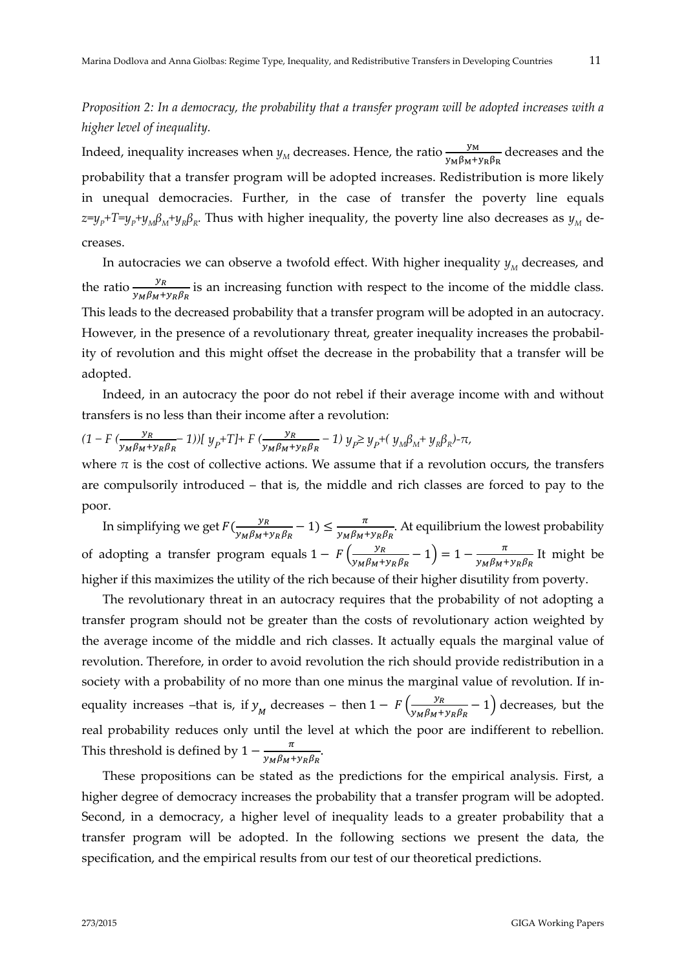*Proposition 2: In a democracy, the probability that a transfer program will be adopted increases with a higher level of inequality.* 

Indeed, inequality increases when  $y_M$  decreases. Hence, the ratio  $\frac{y_M}{y_M \beta_M + y_R \beta_R}$  decreases and the probability that a transfer program will be adopted increases. Redistribution is more likely in unequal democracies. Further, in the case of transfer the poverty line equals  $z=y_p+T=y_p+y_m\beta_M+y_p\beta_R$ . Thus with higher inequality, the poverty line also decreases as  $y_M$  decreases.

In autocracies we can observe a twofold effect. With higher inequality  $y_M$  decreases, and the ratio  $\frac{y_R}{y_M \beta_M + y_R \beta_R}$  is an increasing function with respect to the income of the middle class. This leads to the decreased probability that a transfer program will be adopted in an autocracy. However, in the presence of a revolutionary threat, greater inequality increases the probability of revolution and this might offset the decrease in the probability that a transfer will be adopted.

Indeed, in an autocracy the poor do not rebel if their average income with and without transfers is no less than their income after a revolution:

$$
(1 - F \left( \frac{y_R}{y_M \beta_M + y_R \beta_R} \right) ) [y_p + T] + F \left( \frac{y_R}{y_M \beta_M + y_R \beta_R} - 1 \right) y_p \ge y_p + (y_M \beta_M + y_R \beta_R) - \pi,
$$

where  $\pi$  is the cost of collective actions. We assume that if a revolution occurs, the transfers are compulsorily introduced – that is, the middle and rich classes are forced to pay to the poor.

In simplifying we get  $F(\frac{y_R}{y_M \beta_M + y_R \beta_R} - 1) \le \frac{\pi}{y_M \beta_M + y_R \beta_R}$ . At equilibrium the lowest probability of adopting a transfer program equals  $1 - F\left(\frac{y_R}{y_M \beta_M + y_R \beta_R} - 1\right) = 1 - \frac{\pi}{y_M \beta_M + y_R \beta_R}$  It might be higher if this maximizes the utility of the rich because of their higher disutility from poverty.

The revolutionary threat in an autocracy requires that the probability of not adopting a transfer program should not be greater than the costs of revolutionary action weighted by the average income of the middle and rich classes. It actually equals the marginal value of revolution. Therefore, in order to avoid revolution the rich should provide redistribution in a society with a probability of no more than one minus the marginal value of revolution. If inequality increases –that is, if  $y_M$  decreases – then  $1 - F\left(\frac{y_R}{y_M \beta_M + y_R \beta_R} - 1\right)$  decreases, but the real probability reduces only until the level at which the poor are indifferent to rebellion. This threshold is defined by  $1 - \frac{\pi}{y_M \beta_M + y_R \beta_R}$ .

These propositions can be stated as the predictions for the empirical analysis. First, a higher degree of democracy increases the probability that a transfer program will be adopted. Second, in a democracy, a higher level of inequality leads to a greater probability that a transfer program will be adopted. In the following sections we present the data, the specification, and the empirical results from our test of our theoretical predictions.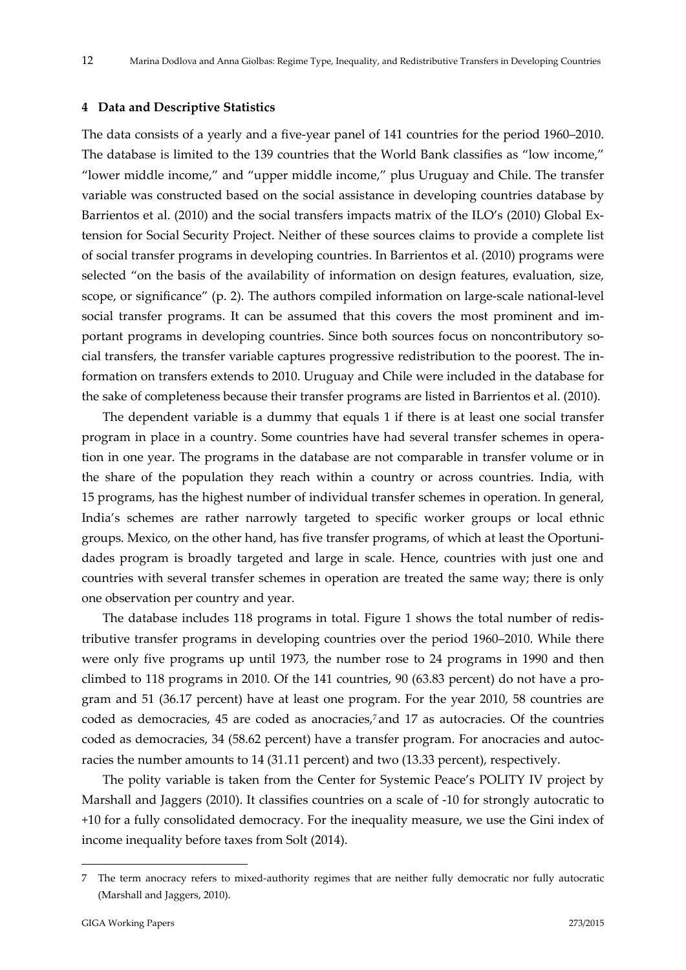#### **4 Data and Descriptive Statistics**

The data consists of a yearly and a five‐year panel of 141 countries for the period 1960–2010. The database is limited to the 139 countries that the World Bank classifies as "low income," "lower middle income," and "upper middle income," plus Uruguay and Chile. The transfer variable was constructed based on the social assistance in developing countries database by Barrientos et al. (2010) and the social transfers impacts matrix of the ILO's (2010) Global Ex‐ tension for Social Security Project. Neither of these sources claims to provide a complete list of social transfer programs in developing countries. In Barrientos et al. (2010) programs were selected "on the basis of the availability of information on design features, evaluation, size, scope, or significance" (p. 2). The authors compiled information on large-scale national-level social transfer programs. It can be assumed that this covers the most prominent and important programs in developing countries. Since both sources focus on noncontributory social transfers, the transfer variable captures progressive redistribution to the poorest. The in‐ formation on transfers extends to 2010. Uruguay and Chile were included in the database for the sake of completeness because their transfer programs are listed in Barrientos et al. (2010).

The dependent variable is a dummy that equals 1 if there is at least one social transfer program in place in a country. Some countries have had several transfer schemes in opera‐ tion in one year. The programs in the database are not comparable in transfer volume or in the share of the population they reach within a country or across countries. India, with 15 programs, has the highest number of individual transfer schemes in operation. In general, India's schemes are rather narrowly targeted to specific worker groups or local ethnic groups. Mexico, on the other hand, has five transfer programs, of which at least the Oportunidades program is broadly targeted and large in scale. Hence, countries with just one and countries with several transfer schemes in operation are treated the same way; there is only one observation per country and year.

The database includes 118 programs in total. Figure 1 shows the total number of redis‐ tributive transfer programs in developing countries over the period 1960–2010. While there were only five programs up until 1973, the number rose to 24 programs in 1990 and then climbed to 118 programs in 2010. Of the 141 countries, 90 (63.83 percent) do not have a pro‐ gram and 51 (36.17 percent) have at least one program. For the year 2010, 58 countries are coded as democracies, 45 are coded as anocracies,7 and 17 as autocracies. Of the countries coded as democracies, 34 (58.62 percent) have a transfer program. For anocracies and autocracies the number amounts to 14 (31.11 percent) and two (13.33 percent), respectively.

The polity variable is taken from the Center for Systemic Peace's POLITY IV project by Marshall and Jaggers (2010). It classifies countries on a scale of -10 for strongly autocratic to +10 for a fully consolidated democracy. For the inequality measure, we use the Gini index of income inequality before taxes from Solt (2014).

<sup>7</sup> The term anocracy refers to mixed‐authority regimes that are neither fully democratic nor fully autocratic (Marshall and Jaggers, 2010).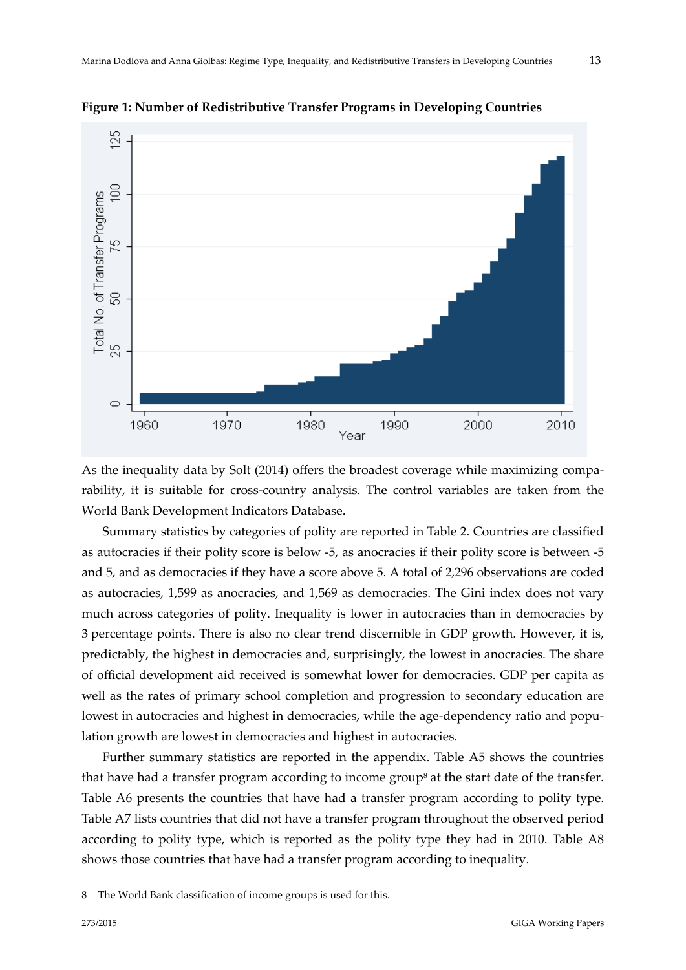

**Figure 1: Number of Redistributive Transfer Programs in Developing Countries** 

As the inequality data by Solt (2014) offers the broadest coverage while maximizing comparability, it is suitable for cross-country analysis. The control variables are taken from the World Bank Development Indicators Database.

Summary statistics by categories of polity are reported in Table 2. Countries are classified as autocracies if their polity score is below ‐5, as anocracies if their polity score is between ‐5 and 5, and as democracies if they have a score above 5. A total of 2,296 observations are coded as autocracies, 1,599 as anocracies, and 1,569 as democracies. The Gini index does not vary much across categories of polity. Inequality is lower in autocracies than in democracies by 3 percentage points. There is also no clear trend discernible in GDP growth. However, it is, predictably, the highest in democracies and, surprisingly, the lowest in anocracies. The share of official development aid received is somewhat lower for democracies. GDP per capita as well as the rates of primary school completion and progression to secondary education are lowest in autocracies and highest in democracies, while the age-dependency ratio and population growth are lowest in democracies and highest in autocracies.

Further summary statistics are reported in the appendix. Table A5 shows the countries that have had a transfer program according to income group<sup>8</sup> at the start date of the transfer. Table A6 presents the countries that have had a transfer program according to polity type. Table A7 lists countries that did not have a transfer program throughout the observed period according to polity type, which is reported as the polity type they had in 2010. Table A8 shows those countries that have had a transfer program according to inequality.

<sup>8</sup> The World Bank classification of income groups is used for this.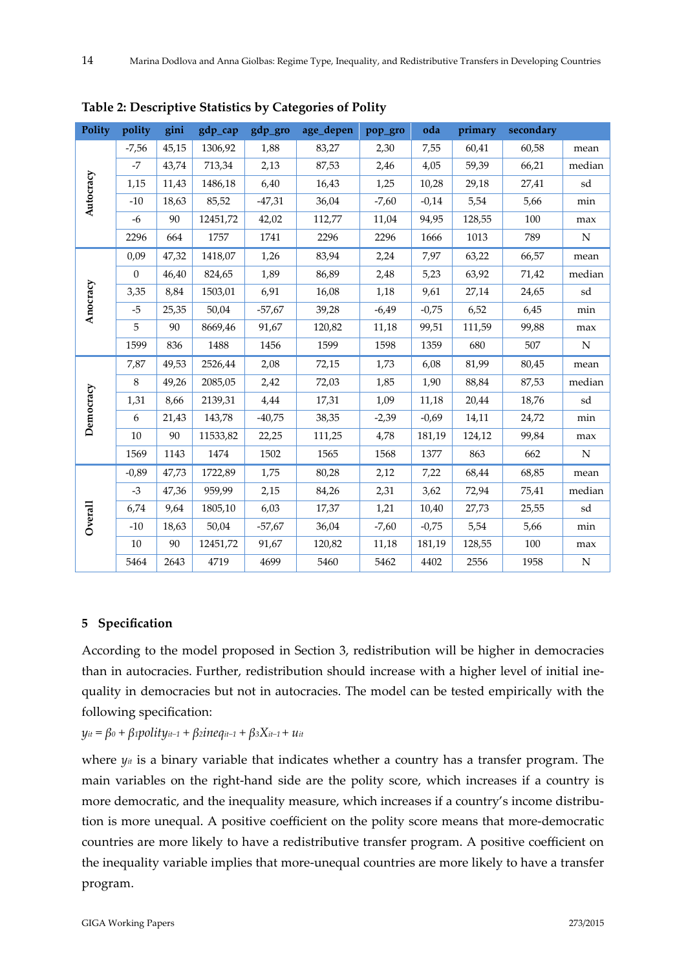| Polity    | polity   | gini  | gdp_cap  | gdp_gro  | age_depen | pop_gro | oda     | primary | secondary |           |
|-----------|----------|-------|----------|----------|-----------|---------|---------|---------|-----------|-----------|
|           | $-7,56$  | 45,15 | 1306,92  | 1,88     | 83,27     | 2,30    | 7,55    | 60,41   | 60,58     | mean      |
|           | $-7$     | 43,74 | 713,34   | 2,13     | 87,53     | 2,46    | 4,05    | 59,39   | 66,21     | median    |
|           | 1,15     | 11,43 | 1486,18  | 6,40     | 16,43     | 1,25    | 10,28   | 29,18   | 27,41     | sd        |
| Autocracy | $-10$    | 18,63 | 85,52    | $-47,31$ | 36,04     | $-7,60$ | $-0,14$ | 5,54    | 5,66      | min       |
|           | $-6$     | 90    | 12451,72 | 42,02    | 112,77    | 11,04   | 94,95   | 128,55  | 100       | max       |
|           | 2296     | 664   | 1757     | 1741     | 2296      | 2296    | 1666    | 1013    | 789       | N         |
|           | 0,09     | 47,32 | 1418,07  | 1,26     | 83,94     | 2,24    | 7,97    | 63,22   | 66,57     | mean      |
|           | $\Omega$ | 46,40 | 824,65   | 1,89     | 86,89     | 2,48    | 5,23    | 63,92   | 71,42     | median    |
| Anocracy  | 3,35     | 8,84  | 1503,01  | 6,91     | 16,08     | 1,18    | 9,61    | 27,14   | 24,65     | sd        |
|           | $-5$     | 25,35 | 50,04    | $-57,67$ | 39,28     | $-6,49$ | $-0,75$ | 6,52    | 6,45      | min       |
|           | 5        | 90    | 8669,46  | 91,67    | 120,82    | 11,18   | 99,51   | 111,59  | 99,88     | max       |
|           | 1599     | 836   | 1488     | 1456     | 1599      | 1598    | 1359    | 680     | 507       | ${\rm N}$ |
|           | 7,87     | 49,53 | 2526,44  | 2,08     | 72,15     | 1,73    | 6,08    | 81,99   | 80,45     | mean      |
|           | 8        | 49,26 | 2085,05  | 2,42     | 72,03     | 1,85    | 1,90    | 88,84   | 87,53     | median    |
| Democracy | 1,31     | 8,66  | 2139,31  | 4,44     | 17,31     | 1,09    | 11,18   | 20,44   | 18,76     | sd        |
|           | 6        | 21,43 | 143,78   | $-40,75$ | 38,35     | $-2,39$ | $-0,69$ | 14,11   | 24,72     | min       |
|           | 10       | 90    | 11533,82 | 22,25    | 111,25    | 4,78    | 181,19  | 124,12  | 99,84     | max       |
|           | 1569     | 1143  | 1474     | 1502     | 1565      | 1568    | 1377    | 863     | 662       | ${\bf N}$ |
|           | $-0.89$  | 47,73 | 1722,89  | 1,75     | 80,28     | 2,12    | 7,22    | 68,44   | 68,85     | mean      |
|           | $-3$     | 47,36 | 959,99   | 2,15     | 84,26     | 2,31    | 3,62    | 72,94   | 75,41     | median    |
| Overall   | 6,74     | 9,64  | 1805,10  | 6,03     | 17,37     | 1,21    | 10,40   | 27,73   | 25,55     | sd        |
|           | $-10$    | 18,63 | 50,04    | $-57,67$ | 36,04     | $-7,60$ | $-0,75$ | 5,54    | 5,66      | min       |
|           | 10       | 90    | 12451,72 | 91,67    | 120,82    | 11,18   | 181,19  | 128,55  | 100       | max       |
|           | 5464     | 2643  | 4719     | 4699     | 5460      | 5462    | 4402    | 2556    | 1958      | N         |

**Table 2: Descriptive Statistics by Categories of Polity**

# **5 Specification**

According to the model proposed in Section 3, redistribution will be higher in democracies than in autocracies. Further, redistribution should increase with a higher level of initial inequality in democracies but not in autocracies. The model can be tested empirically with the following specification:

 $y_{it} = \beta_0 + \beta_1$ *polity<sub>it</sub>−1</sub> +*  $\beta_2$ *ineq<sub>it−1</sub> +*  $\beta_3 X_{it-1} + u_{it}$ 

where *yit* is a binary variable that indicates whether a country has a transfer program. The main variables on the right‐hand side are the polity score, which increases if a country is more democratic, and the inequality measure, which increases if a country's income distribution is more unequal. A positive coefficient on the polity score means that more‐democratic countries are more likely to have a redistributive transfer program. A positive coefficient on the inequality variable implies that more‐unequal countries are more likely to have a transfer program.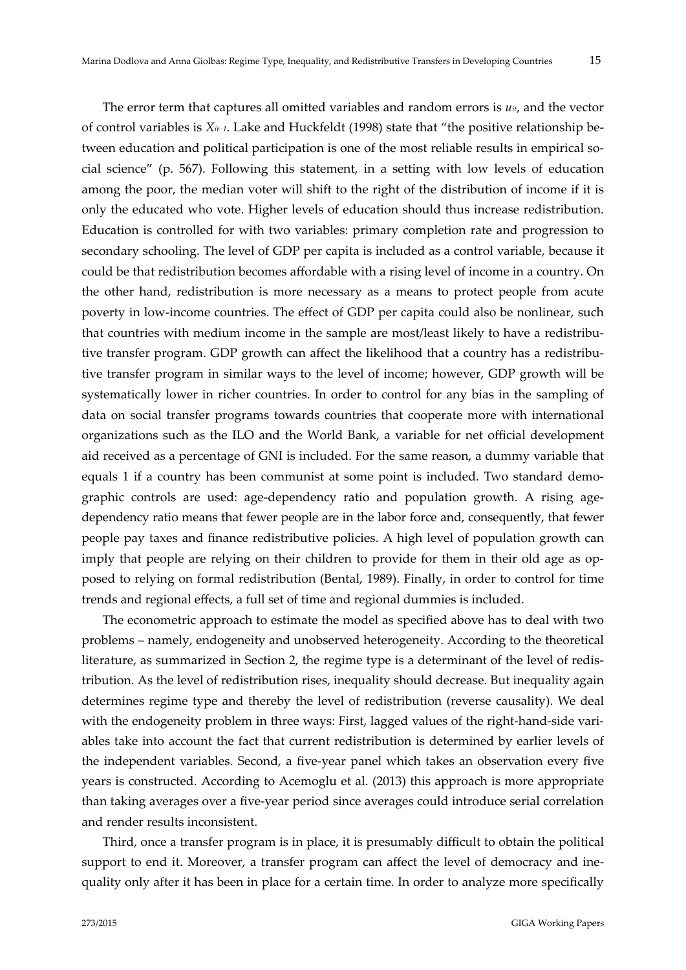The error term that captures all omitted variables and random errors is  $u_{it}$ , and the vector of control variables is *Xit−1*. Lake and Huckfeldt (1998) state that "the positive relationship be‐ tween education and political participation is one of the most reliable results in empirical social science" (p. 567). Following this statement, in a setting with low levels of education among the poor, the median voter will shift to the right of the distribution of income if it is only the educated who vote. Higher levels of education should thus increase redistribution. Education is controlled for with two variables: primary completion rate and progression to secondary schooling. The level of GDP per capita is included as a control variable, because it could be that redistribution becomes affordable with a rising level of income in a country. On the other hand, redistribution is more necessary as a means to protect people from acute poverty in low-income countries. The effect of GDP per capita could also be nonlinear, such that countries with medium income in the sample are most/least likely to have a redistributive transfer program. GDP growth can affect the likelihood that a country has a redistributive transfer program in similar ways to the level of income; however, GDP growth will be systematically lower in richer countries. In order to control for any bias in the sampling of data on social transfer programs towards countries that cooperate more with international organizations such as the ILO and the World Bank, a variable for net official development aid received as a percentage of GNI is included. For the same reason, a dummy variable that equals 1 if a country has been communist at some point is included. Two standard demographic controls are used: age-dependency ratio and population growth. A rising agedependency ratio means that fewer people are in the labor force and, consequently, that fewer people pay taxes and finance redistributive policies. A high level of population growth can imply that people are relying on their children to provide for them in their old age as op– posed to relying on formal redistribution (Bental, 1989). Finally, in order to control for time trends and regional effects, a full set of time and regional dummies is included.

The econometric approach to estimate the model as specified above has to deal with two problems – namely, endogeneity and unobserved heterogeneity. According to the theoretical literature, as summarized in Section 2, the regime type is a determinant of the level of redis‐ tribution. As the level of redistribution rises, inequality should decrease. But inequality again determines regime type and thereby the level of redistribution (reverse causality). We deal with the endogeneity problem in three ways: First, lagged values of the right-hand-side variables take into account the fact that current redistribution is determined by earlier levels of the independent variables. Second, a five‐year panel which takes an observation every five years is constructed. According to Acemoglu et al. (2013) this approach is more appropriate than taking averages over a five‐year period since averages could introduce serial correlation and render results inconsistent.

Third, once a transfer program is in place, it is presumably difficult to obtain the political support to end it. Moreover, a transfer program can affect the level of democracy and inequality only after it has been in place for a certain time. In order to analyze more specifically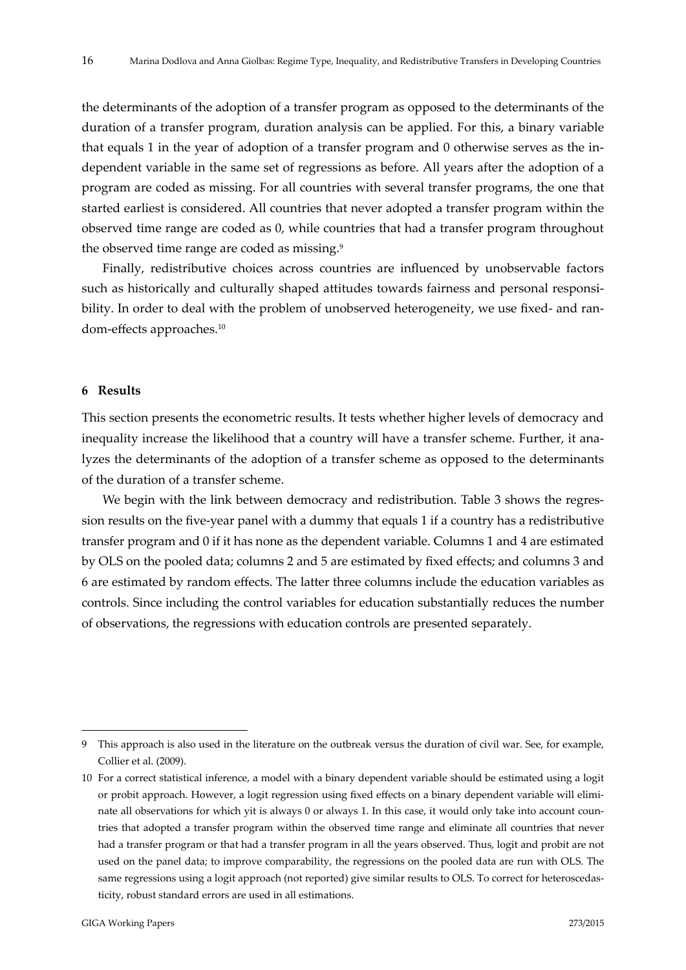the determinants of the adoption of a transfer program as opposed to the determinants of the duration of a transfer program, duration analysis can be applied. For this, a binary variable that equals 1 in the year of adoption of a transfer program and 0 otherwise serves as the in‐ dependent variable in the same set of regressions as before. All years after the adoption of a program are coded as missing. For all countries with several transfer programs, the one that started earliest is considered. All countries that never adopted a transfer program within the observed time range are coded as 0, while countries that had a transfer program throughout the observed time range are coded as missing.<sup>9</sup>

Finally, redistributive choices across countries are influenced by unobservable factors such as historically and culturally shaped attitudes towards fairness and personal responsibility. In order to deal with the problem of unobserved heterogeneity, we use fixed- and random‐effects approaches.10

#### **6 Results**

This section presents the econometric results. It tests whether higher levels of democracy and inequality increase the likelihood that a country will have a transfer scheme. Further, it analyzes the determinants of the adoption of a transfer scheme as opposed to the determinants of the duration of a transfer scheme.

We begin with the link between democracy and redistribution. Table 3 shows the regression results on the five-year panel with a dummy that equals 1 if a country has a redistributive transfer program and 0 if it has none as the dependent variable. Columns 1 and 4 are estimated by OLS on the pooled data; columns 2 and 5 are estimated by fixed effects; and columns 3 and 6 are estimated by random effects. The latter three columns include the education variables as controls. Since including the control variables for education substantially reduces the number of observations, the regressions with education controls are presented separately.

<sup>9</sup> This approach is also used in the literature on the outbreak versus the duration of civil war. See, for example, Collier et al. (2009).

<sup>10</sup> For a correct statistical inference, a model with a binary dependent variable should be estimated using a logit or probit approach. However, a logit regression using fixed effects on a binary dependent variable will elimi‐ nate all observations for which yit is always 0 or always 1. In this case, it would only take into account countries that adopted a transfer program within the observed time range and eliminate all countries that never had a transfer program or that had a transfer program in all the years observed. Thus, logit and probit are not used on the panel data; to improve comparability, the regressions on the pooled data are run with OLS. The same regressions using a logit approach (not reported) give similar results to OLS. To correct for heteroscedasticity, robust standard errors are used in all estimations.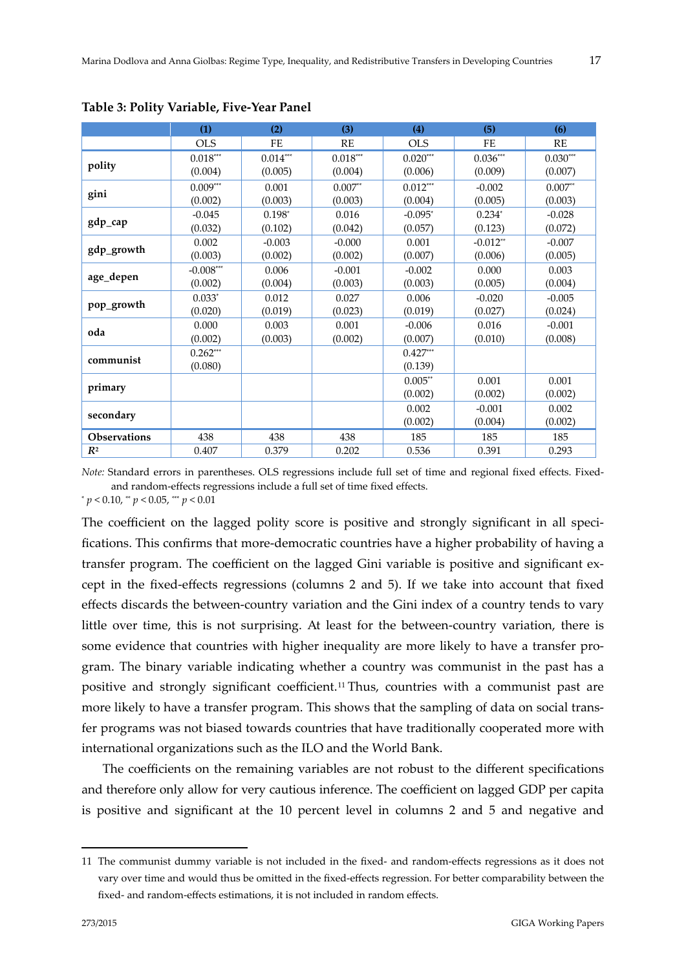|                     | (1)                     | (2)        | (3)        | (4)        | (5)        | (6)        |
|---------------------|-------------------------|------------|------------|------------|------------|------------|
|                     | <b>OLS</b>              | FE         | RE         | <b>OLS</b> | FE         | RE         |
|                     | $0.018***$              | $0.014***$ | $0.018***$ | $0.020***$ | $0.036***$ | $0.030***$ |
| polity              | (0.004)                 | (0.005)    | (0.004)    | (0.006)    | (0.009)    | (0.007)    |
|                     | $0.009\sp{*}\sp{*}$     | 0.001      | $0.007**$  | $0.012***$ | $-0.002$   | $0.007**$  |
| gini                | (0.002)                 | (0.003)    | (0.003)    | (0.004)    | (0.005)    | (0.003)    |
|                     | $-0.045$                | $0.198*$   | 0.016      | $-0.095*$  | $0.234*$   | $-0.028$   |
| gdp_cap             | (0.032)                 | (0.102)    | (0.042)    | (0.057)    | (0.123)    | (0.072)    |
|                     | 0.002                   | $-0.003$   | $-0.000$   | 0.001      | $-0.012**$ | $-0.007$   |
| gdp_growth          | (0.003)                 | (0.002)    | (0.002)    | (0.007)    | (0.006)    | (0.005)    |
|                     | $-0.008^{\ast\ast\ast}$ | 0.006      | $-0.001$   | $-0.002$   | 0.000      | 0.003      |
| age_depen           | (0.002)                 | (0.004)    | (0.003)    | (0.003)    | (0.005)    | (0.004)    |
|                     | $0.033*$                | 0.012      | 0.027      | 0.006      | $-0.020$   | $-0.005$   |
| pop_growth          | (0.020)                 | (0.019)    | (0.023)    | (0.019)    | (0.027)    | (0.024)    |
| oda                 | 0.000                   | 0.003      | 0.001      | $-0.006$   | 0.016      | $-0.001$   |
|                     | (0.002)                 | (0.003)    | (0.002)    | (0.007)    | (0.010)    | (0.008)    |
| communist           | $0.262***$              |            |            | $0.427***$ |            |            |
|                     | (0.080)                 |            |            | (0.139)    |            |            |
|                     |                         |            |            | $0.005**$  | 0.001      | 0.001      |
| primary             |                         |            |            | (0.002)    | (0.002)    | (0.002)    |
|                     |                         |            |            | 0.002      | $-0.001$   | 0.002      |
| secondary           |                         |            |            | (0.002)    | (0.004)    | (0.002)    |
| <b>Observations</b> | 438                     | 438        | 438        | 185        | 185        | 185        |
| $R^2$               | 0.407                   | 0.379      | 0.202      | 0.536      | 0.391      | 0.293      |

**Table 3: Polity Variable, Five‐Year Panel**

*Note:* Standard errors in parentheses. OLS regressions include full set of time and regional fixed effects. Fixedand random‐effects regressions include a full set of time fixed effects.

 $p$  < 0.10, \*\*  $p$  < 0.05, \*\*\*  $p$  < 0.01

The coefficient on the lagged polity score is positive and strongly significant in all specifications. This confirms that more‐democratic countries have a higher probability of having a transfer program. The coefficient on the lagged Gini variable is positive and significant ex‐ cept in the fixed‐effects regressions (columns 2 and 5). If we take into account that fixed effects discards the between‐country variation and the Gini index of a country tends to vary little over time, this is not surprising. At least for the between‐country variation, there is some evidence that countries with higher inequality are more likely to have a transfer program. The binary variable indicating whether a country was communist in the past has a positive and strongly significant coefficient.11 Thus, countries with a communist past are more likely to have a transfer program. This shows that the sampling of data on social transfer programs was not biased towards countries that have traditionally cooperated more with international organizations such as the ILO and the World Bank.

The coefficients on the remaining variables are not robust to the different specifications and therefore only allow for very cautious inference. The coefficient on lagged GDP per capita is positive and significant at the 10 percent level in columns 2 and 5 and negative and

<sup>11</sup> The communist dummy variable is not included in the fixed‐ and random‐effects regressions as it does not vary over time and would thus be omitted in the fixed-effects regression. For better comparability between the fixed- and random-effects estimations, it is not included in random effects.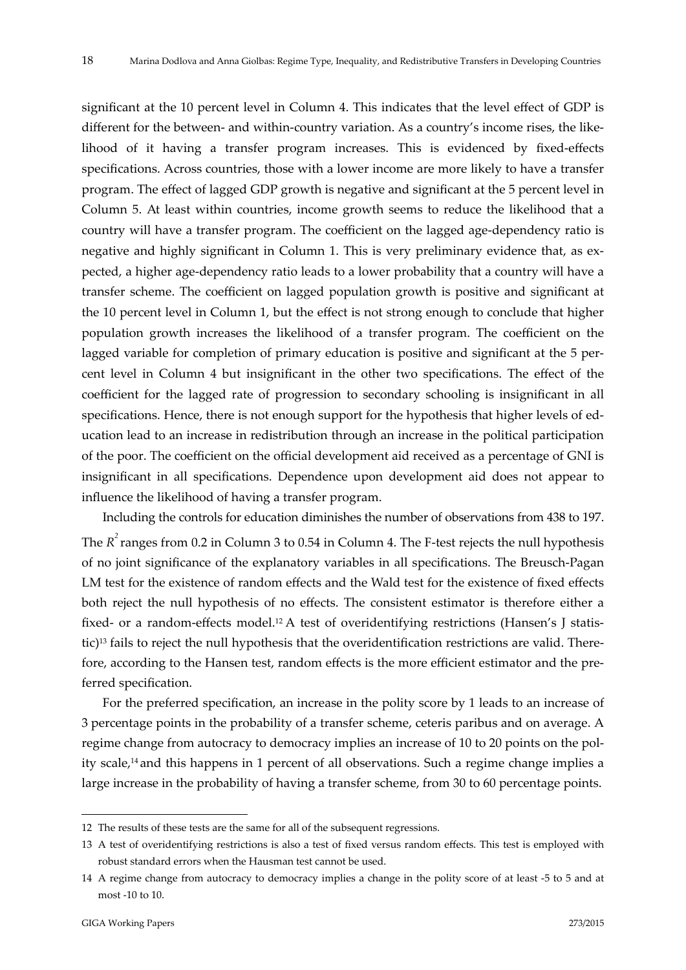significant at the 10 percent level in Column 4. This indicates that the level effect of GDP is different for the between- and within-country variation. As a country's income rises, the likelihood of it having a transfer program increases. This is evidenced by fixed‐effects specifications. Across countries, those with a lower income are more likely to have a transfer program. The effect of lagged GDP growth is negative and significant at the 5 percent level in Column 5. At least within countries, income growth seems to reduce the likelihood that a country will have a transfer program. The coefficient on the lagged age-dependency ratio is negative and highly significant in Column 1. This is very preliminary evidence that, as expected, a higher age‐dependency ratio leads to a lower probability that a country will have a transfer scheme. The coefficient on lagged population growth is positive and significant at the 10 percent level in Column 1, but the effect is not strong enough to conclude that higher population growth increases the likelihood of a transfer program. The coefficient on the lagged variable for completion of primary education is positive and significant at the 5 percent level in Column 4 but insignificant in the other two specifications. The effect of the coefficient for the lagged rate of progression to secondary schooling is insignificant in all specifications. Hence, there is not enough support for the hypothesis that higher levels of education lead to an increase in redistribution through an increase in the political participation of the poor. The coefficient on the official development aid received as a percentage of GNI is insignificant in all specifications. Dependence upon development aid does not appear to influence the likelihood of having a transfer program.

Including the controls for education diminishes the number of observations from 438 to 197. The  $R^2$  ranges from 0.2 in Column 3 to 0.54 in Column 4. The F-test rejects the null hypothesis of no joint significance of the explanatory variables in all specifications. The Breusch‐Pagan LM test for the existence of random effects and the Wald test for the existence of fixed effects both reject the null hypothesis of no effects. The consistent estimator is therefore either a fixed- or a random-effects model.<sup>12</sup> A test of overidentifying restrictions (Hansen's J statistic)<sup>13</sup> fails to reject the null hypothesis that the overidentification restrictions are valid. Therefore, according to the Hansen test, random effects is the more efficient estimator and the preferred specification.

For the preferred specification, an increase in the polity score by 1 leads to an increase of 3 percentage points in the probability of a transfer scheme, ceteris paribus and on average. A regime change from autocracy to democracy implies an increase of 10 to 20 points on the polity scale,14 and this happens in 1 percent of all observations. Such a regime change implies a large increase in the probability of having a transfer scheme, from 30 to 60 percentage points.

<sup>12</sup> The results of these tests are the same for all of the subsequent regressions.

<sup>13</sup> A test of overidentifying restrictions is also a test of fixed versus random effects. This test is employed with robust standard errors when the Hausman test cannot be used.

<sup>14</sup> A regime change from autocracy to democracy implies a change in the polity score of at least ‐5 to 5 and at most ‐10 to 10.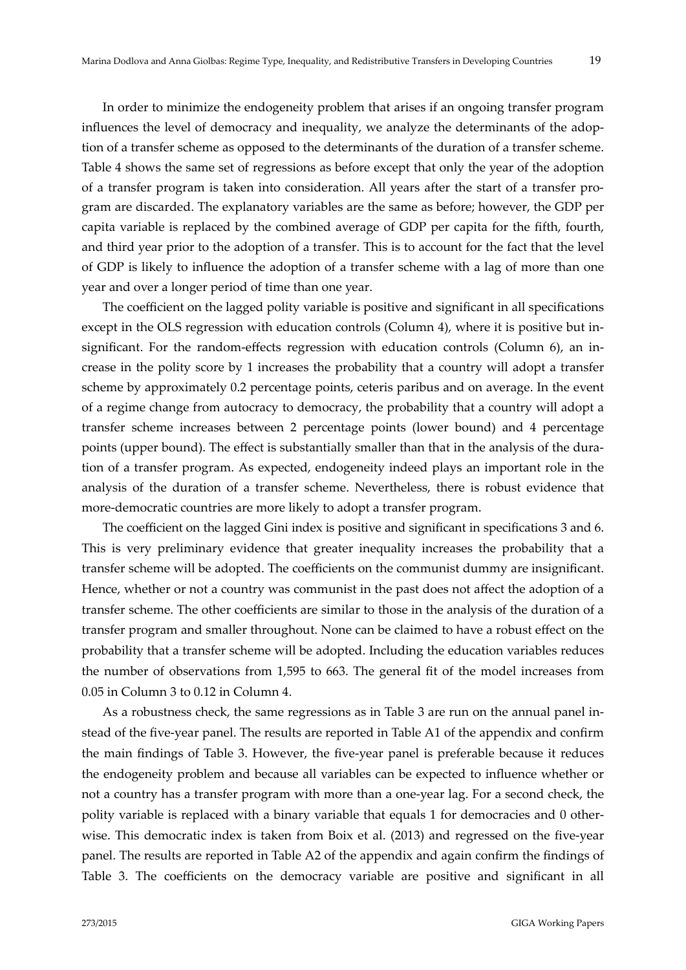In order to minimize the endogeneity problem that arises if an ongoing transfer program influences the level of democracy and inequality, we analyze the determinants of the adoption of a transfer scheme as opposed to the determinants of the duration of a transfer scheme. Table 4 shows the same set of regressions as before except that only the year of the adoption of a transfer program is taken into consideration. All years after the start of a transfer pro‐ gram are discarded. The explanatory variables are the same as before; however, the GDP per capita variable is replaced by the combined average of GDP per capita for the fifth, fourth, and third year prior to the adoption of a transfer. This is to account for the fact that the level of GDP is likely to influence the adoption of a transfer scheme with a lag of more than one year and over a longer period of time than one year.

The coefficient on the lagged polity variable is positive and significant in all specifications except in the OLS regression with education controls (Column 4), where it is positive but insignificant. For the random-effects regression with education controls (Column 6), an increase in the polity score by 1 increases the probability that a country will adopt a transfer scheme by approximately 0.2 percentage points, ceteris paribus and on average. In the event of a regime change from autocracy to democracy, the probability that a country will adopt a transfer scheme increases between 2 percentage points (lower bound) and 4 percentage points (upper bound). The effect is substantially smaller than that in the analysis of the duration of a transfer program. As expected, endogeneity indeed plays an important role in the analysis of the duration of a transfer scheme. Nevertheless, there is robust evidence that more‐democratic countries are more likely to adopt a transfer program.

The coefficient on the lagged Gini index is positive and significant in specifications 3 and 6. This is very preliminary evidence that greater inequality increases the probability that a transfer scheme will be adopted. The coefficients on the communist dummy are insignificant. Hence, whether or not a country was communist in the past does not affect the adoption of a transfer scheme. The other coefficients are similar to those in the analysis of the duration of a transfer program and smaller throughout. None can be claimed to have a robust effect on the probability that a transfer scheme will be adopted. Including the education variables reduces the number of observations from 1,595 to 663. The general fit of the model increases from 0.05 in Column 3 to 0.12 in Column 4.

As a robustness check, the same regressions as in Table 3 are run on the annual panel in‐ stead of the five‐year panel. The results are reported in Table A1 of the appendix and confirm the main findings of Table 3. However, the five‐year panel is preferable because it reduces the endogeneity problem and because all variables can be expected to influence whether or not a country has a transfer program with more than a one‐year lag. For a second check, the polity variable is replaced with a binary variable that equals 1 for democracies and 0 otherwise. This democratic index is taken from Boix et al. (2013) and regressed on the five-year panel. The results are reported in Table A2 of the appendix and again confirm the findings of Table 3. The coefficients on the democracy variable are positive and significant in all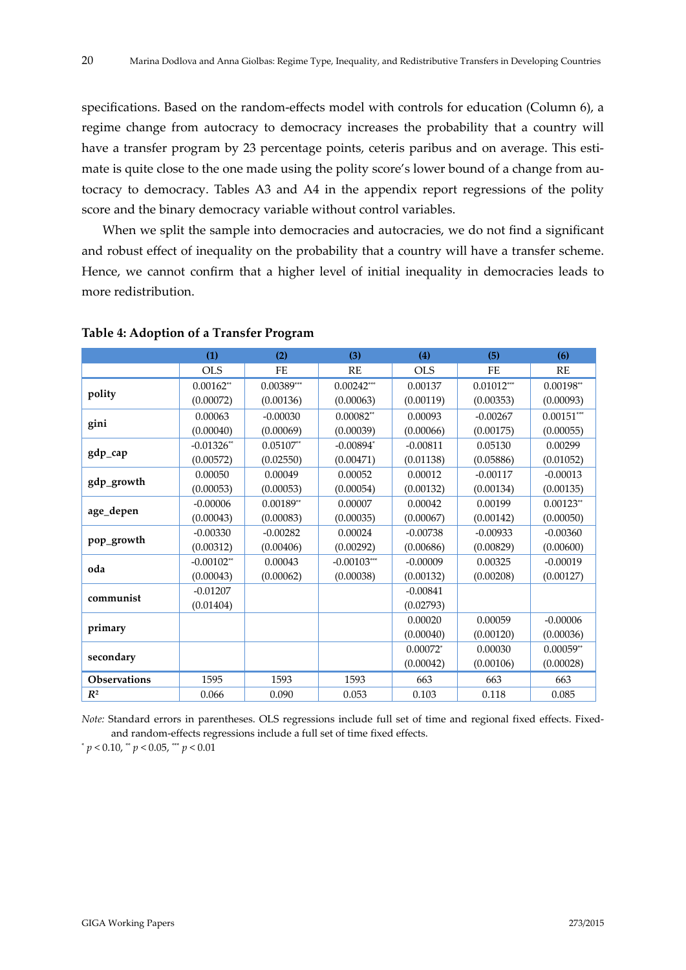specifications. Based on the random-effects model with controls for education (Column 6), a regime change from autocracy to democracy increases the probability that a country will have a transfer program by 23 percentage points, ceteris paribus and on average. This estimate is quite close to the one made using the polity score's lower bound of a change from autocracy to democracy. Tables A3 and A4 in the appendix report regressions of the polity score and the binary democracy variable without control variables.

When we split the sample into democracies and autocracies, we do not find a significant and robust effect of inequality on the probability that a country will have a transfer scheme. Hence, we cannot confirm that a higher level of initial inequality in democracies leads to more redistribution.

|                     | (1)          | (2)              | (3)           | (4)        | (5)          | (6)          |
|---------------------|--------------|------------------|---------------|------------|--------------|--------------|
|                     | <b>OLS</b>   | FE               | RE            | <b>OLS</b> | FE           | RE           |
|                     | $0.00162**$  | $0.00389***$     | $0.00242***$  | 0.00137    | $0.01012***$ | $0.00198**$  |
| polity              | (0.00072)    | (0.00136)        | (0.00063)     | (0.00119)  | (0.00353)    | (0.00093)    |
|                     | 0.00063      | $-0.00030$       | $0.00082**$   | 0.00093    | $-0.00267$   | $0.00151***$ |
| gini                | (0.00040)    | (0.00069)        | (0.00039)     | (0.00066)  | (0.00175)    | (0.00055)    |
|                     | $-0.01326**$ | $0.05107**$      | $-0.00894$ *  | $-0.00811$ | 0.05130      | 0.00299      |
| gdp_cap             | (0.00572)    | (0.02550)        | (0.00471)     | (0.01138)  | (0.05886)    | (0.01052)    |
|                     | 0.00050      | 0.00049          | 0.00052       | 0.00012    | $-0.00117$   | $-0.00013$   |
| gdp_growth          | (0.00053)    | (0.00053)        | (0.00054)     | (0.00132)  | (0.00134)    | (0.00135)    |
|                     | $-0.00006$   | $0.00189^{*\!*}$ | 0.00007       | 0.00042    | 0.00199      | $0.00123**$  |
| age_depen           | (0.00043)    | (0.00083)        | (0.00035)     | (0.00067)  | (0.00142)    | (0.00050)    |
|                     | $-0.00330$   | $-0.00282$       | 0.00024       | $-0.00738$ | $-0.00933$   | $-0.00360$   |
| pop_growth          | (0.00312)    | (0.00406)        | (0.00292)     | (0.00686)  | (0.00829)    | (0.00600)    |
| oda                 | $-0.00102**$ | 0.00043          | $-0.00103***$ | $-0.00009$ | 0.00325      | $-0.00019$   |
|                     | (0.00043)    | (0.00062)        | (0.00038)     | (0.00132)  | (0.00208)    | (0.00127)    |
| communist           | $-0.01207$   |                  |               | $-0.00841$ |              |              |
|                     | (0.01404)    |                  |               | (0.02793)  |              |              |
|                     |              |                  |               | 0.00020    | 0.00059      | $-0.00006$   |
| primary             |              |                  |               | (0.00040)  | (0.00120)    | (0.00036)    |
|                     |              |                  |               | $0.00072*$ | 0.00030      | $0.00059**$  |
| secondary           |              |                  |               | (0.00042)  | (0.00106)    | (0.00028)    |
| <b>Observations</b> | 1595         | 1593             | 1593          | 663        | 663          | 663          |
| $R^2$               | 0.066        | 0.090            | 0.053         | 0.103      | 0.118        | 0.085        |

**Table 4: Adoption of a Transfer Program**

*Note:* Standard errors in parentheses. OLS regressions include full set of time and regional fixed effects. Fixedand random‐effects regressions include a full set of time fixed effects.

 $p < 0.10$ , \*\*  $p < 0.05$ , \*\*\*  $p < 0.01$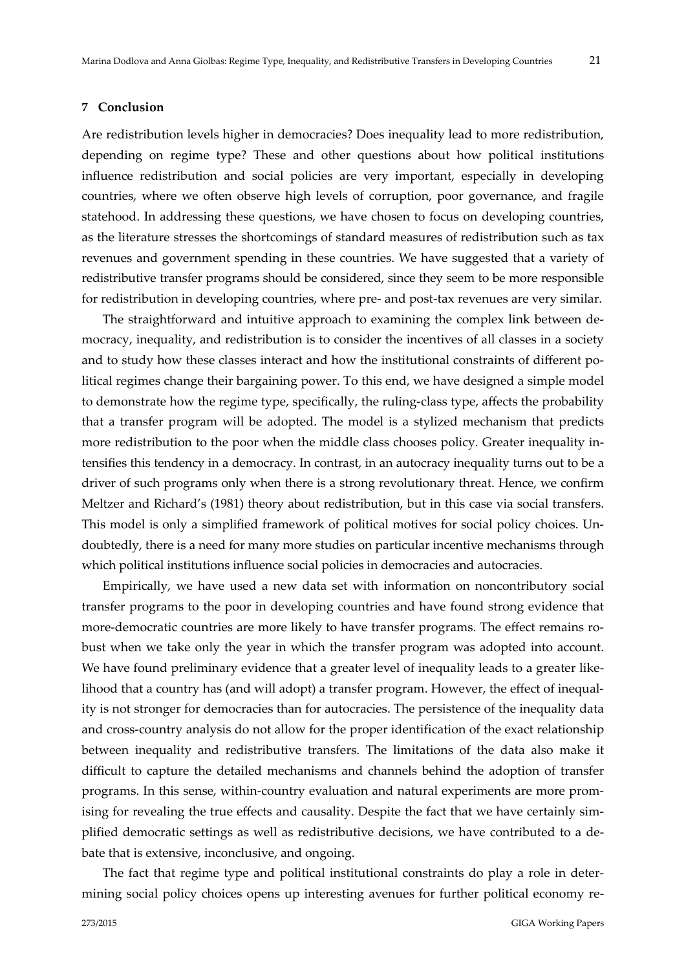#### **7 Conclusion**

Are redistribution levels higher in democracies? Does inequality lead to more redistribution, depending on regime type? These and other questions about how political institutions influence redistribution and social policies are very important, especially in developing countries, where we often observe high levels of corruption, poor governance, and fragile statehood. In addressing these questions, we have chosen to focus on developing countries, as the literature stresses the shortcomings of standard measures of redistribution such as tax revenues and government spending in these countries. We have suggested that a variety of redistributive transfer programs should be considered, since they seem to be more responsible for redistribution in developing countries, where pre- and post-tax revenues are very similar.

The straightforward and intuitive approach to examining the complex link between de‐ mocracy, inequality, and redistribution is to consider the incentives of all classes in a society and to study how these classes interact and how the institutional constraints of different political regimes change their bargaining power. To this end, we have designed a simple model to demonstrate how the regime type, specifically, the ruling-class type, affects the probability that a transfer program will be adopted. The model is a stylized mechanism that predicts more redistribution to the poor when the middle class chooses policy. Greater inequality intensifies this tendency in a democracy. In contrast, in an autocracy inequality turns out to be a driver of such programs only when there is a strong revolutionary threat. Hence, we confirm Meltzer and Richard's (1981) theory about redistribution, but in this case via social transfers. This model is only a simplified framework of political motives for social policy choices. Undoubtedly, there is a need for many more studies on particular incentive mechanisms through which political institutions influence social policies in democracies and autocracies.

Empirically, we have used a new data set with information on noncontributory social transfer programs to the poor in developing countries and have found strong evidence that more-democratic countries are more likely to have transfer programs. The effect remains robust when we take only the year in which the transfer program was adopted into account. We have found preliminary evidence that a greater level of inequality leads to a greater like– lihood that a country has (and will adopt) a transfer program. However, the effect of inequality is not stronger for democracies than for autocracies. The persistence of the inequality data and cross‐country analysis do not allow for the proper identification of the exact relationship between inequality and redistributive transfers. The limitations of the data also make it difficult to capture the detailed mechanisms and channels behind the adoption of transfer programs. In this sense, within‐country evaluation and natural experiments are more prom‐ ising for revealing the true effects and causality. Despite the fact that we have certainly simplified democratic settings as well as redistributive decisions, we have contributed to a debate that is extensive, inconclusive, and ongoing.

The fact that regime type and political institutional constraints do play a role in deter‐ mining social policy choices opens up interesting avenues for further political economy re‐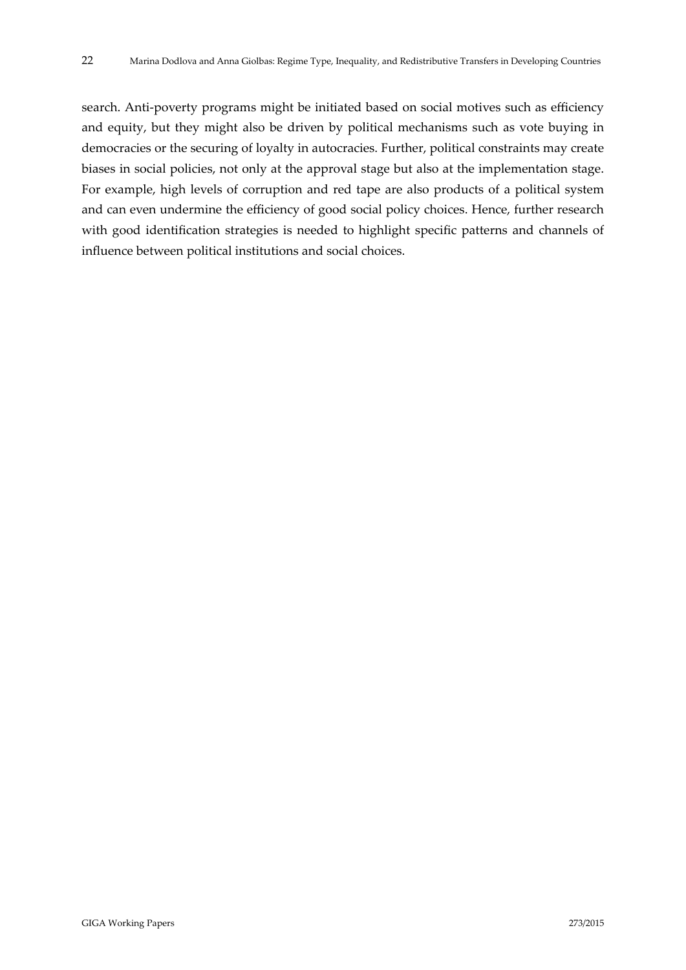search. Anti-poverty programs might be initiated based on social motives such as efficiency and equity, but they might also be driven by political mechanisms such as vote buying in democracies or the securing of loyalty in autocracies. Further, political constraints may create biases in social policies, not only at the approval stage but also at the implementation stage. For example, high levels of corruption and red tape are also products of a political system and can even undermine the efficiency of good social policy choices. Hence, further research with good identification strategies is needed to highlight specific patterns and channels of influence between political institutions and social choices.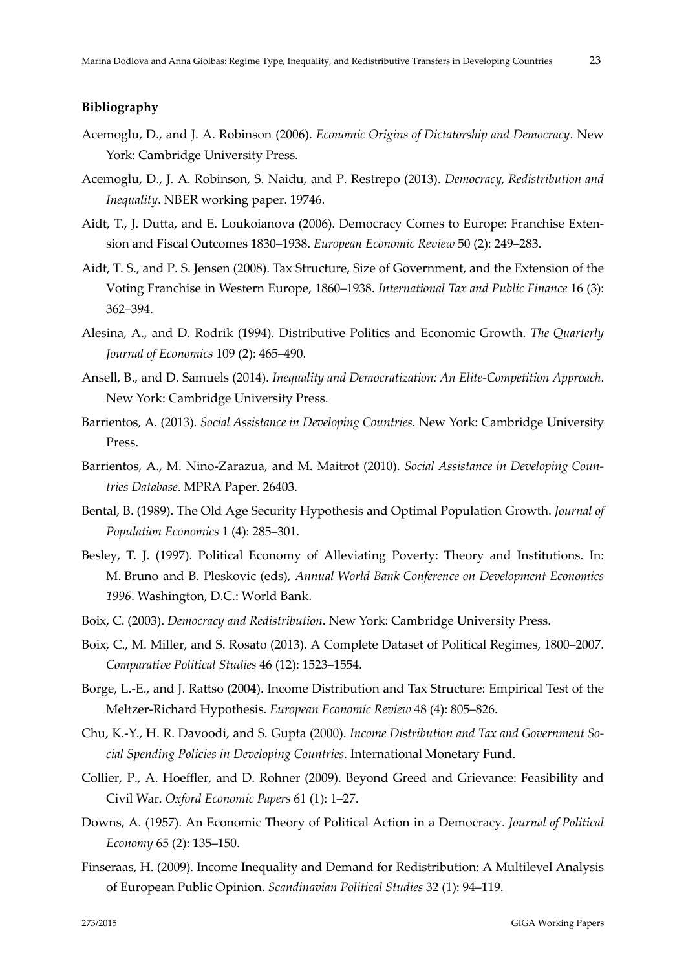#### **Bibliography**

- Acemoglu, D., and J. A. Robinson (2006). *Economic Origins of Dictatorship and Democracy*. New York: Cambridge University Press.
- Acemoglu, D., J. A. Robinson, S. Naidu, and P. Restrepo (2013). *Democracy, Redistribution and Inequality*. NBER working paper. 19746.
- Aidt, T., J. Dutta, and E. Loukoianova (2006). Democracy Comes to Europe: Franchise Exten‐ sion and Fiscal Outcomes 1830–1938. *European Economic Review* 50 (2): 249–283.
- Aidt, T. S., and P. S. Jensen (2008). Tax Structure, Size of Government, and the Extension of the Voting Franchise in Western Europe, 1860–1938. *International Tax and Public Finance* 16 (3): 362–394.
- Alesina, A., and D. Rodrik (1994). Distributive Politics and Economic Growth. *The Quarterly Journal of Economics* 109 (2): 465–490.
- Ansell, B., and D. Samuels (2014). *Inequality and Democratization: An Elite‐Competition Approach*. New York: Cambridge University Press.
- Barrientos, A. (2013). *Social Assistance in Developing Countries*. New York: Cambridge University Press.
- Barrientos, A., M. Nino‐Zarazua, and M. Maitrot (2010). *Social Assistance in Developing Coun‐ tries Database*. MPRA Paper. 26403.
- Bental, B. (1989). The Old Age Security Hypothesis and Optimal Population Growth. *Journal of Population Economics* 1 (4): 285–301.
- Besley, T. J. (1997). Political Economy of Alleviating Poverty: Theory and Institutions. In: M. Bruno and B. Pleskovic (eds), *Annual World Bank Conference on Development Economics 1996*. Washington, D.C.: World Bank.
- Boix, C. (2003). *Democracy and Redistribution*. New York: Cambridge University Press.
- Boix, C., M. Miller, and S. Rosato (2013). A Complete Dataset of Political Regimes, 1800–2007. *Comparative Political Studies* 46 (12): 1523–1554.
- Borge, L.‐E., and J. Rattso (2004). Income Distribution and Tax Structure: Empirical Test of the Meltzer‐Richard Hypothesis. *European Economic Review* 48 (4): 805–826.
- Chu, K.‐Y., H. R. Davoodi, and S. Gupta (2000). *Income Distribution and Tax and Government So‐ cial Spending Policies in Developing Countries*. International Monetary Fund.
- Collier, P., A. Hoeffler, and D. Rohner (2009). Beyond Greed and Grievance: Feasibility and Civil War. *Oxford Economic Papers* 61 (1): 1–27.
- Downs, A. (1957). An Economic Theory of Political Action in a Democracy. *Journal of Political Economy* 65 (2): 135–150.
- Finseraas, H. (2009). Income Inequality and Demand for Redistribution: A Multilevel Analysis of European Public Opinion. *Scandinavian Political Studies* 32 (1): 94–119.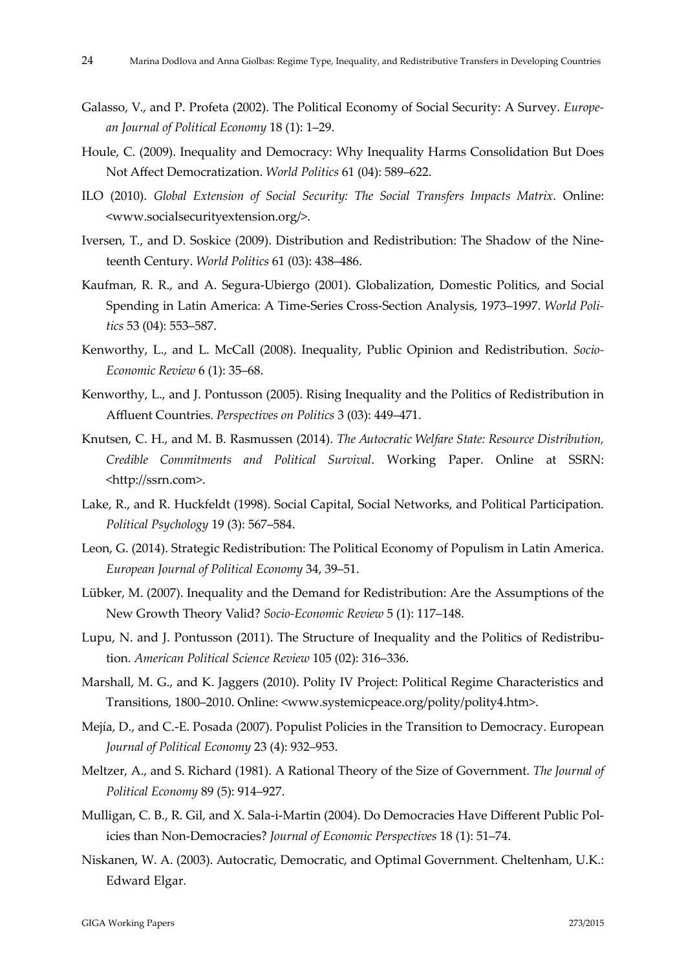- Galasso, V., and P. Profeta (2002). The Political Economy of Social Security: A Survey. *Europe‐ an Journal of Political Economy* 18 (1): 1–29.
- Houle, C. (2009). Inequality and Democracy: Why Inequality Harms Consolidation But Does Not Affect Democratization. *World Politics* 61 (04): 589–622.
- ILO (2010). *Global Extension of Social Security: The Social Transfers Impacts Matrix*. Online: <www.socialsecurityextension.org/>.
- Iversen, T., and D. Soskice (2009). Distribution and Redistribution: The Shadow of the Nine‐ teenth Century. *World Politics* 61 (03): 438–486.
- Kaufman, R. R., and A. Segura‐Ubiergo (2001). Globalization, Domestic Politics, and Social Spending in Latin America: A Time‐Series Cross‐Section Analysis, 1973–1997. *World Poli‐ tics* 53 (04): 553–587.
- Kenworthy, L., and L. McCall (2008). Inequality, Public Opinion and Redistribution. *Socio‐ Economic Review* 6 (1): 35–68.
- Kenworthy, L., and J. Pontusson (2005). Rising Inequality and the Politics of Redistribution in Affluent Countries. *Perspectives on Politics* 3 (03): 449–471.
- Knutsen, C. H., and M. B. Rasmussen (2014). *The Autocratic Welfare State: Resource Distribution, Credible Commitments and Political Survival*. Working Paper. Online at SSRN: <http://ssrn.com>.
- Lake, R., and R. Huckfeldt (1998). Social Capital, Social Networks, and Political Participation. *Political Psychology* 19 (3): 567‒584.
- Leon, G. (2014). Strategic Redistribution: The Political Economy of Populism in Latin America. *European Journal of Political Economy* 34, 39–51.
- Lübker, M. (2007). Inequality and the Demand for Redistribution: Are the Assumptions of the New Growth Theory Valid? *Socio‐Economic Review* 5 (1): 117–148.
- Lupu, N. and J. Pontusson (2011). The Structure of Inequality and the Politics of Redistribu‐ tion. *American Political Science Review* 105 (02): 316–336.
- Marshall, M. G., and K. Jaggers (2010). Polity IV Project: Political Regime Characteristics and Transitions, 1800–2010. Online: <www.systemicpeace.org/polity/polity4.htm>.
- Mejía, D., and C.‐E. Posada (2007). Populist Policies in the Transition to Democracy. European *Journal of Political Economy* 23 (4): 932–953.
- Meltzer, A., and S. Richard (1981). A Rational Theory of the Size of Government. *The Journal of Political Economy* 89 (5): 914–927.
- Mulligan, C. B., R. Gil, and X. Sala-i-Martin (2004). Do Democracies Have Different Public Policies than Non‐Democracies? *Journal of Economic Perspectives* 18 (1): 51–74.
- Niskanen, W. A. (2003). Autocratic, Democratic, and Optimal Government. Cheltenham, U.K.: Edward Elgar.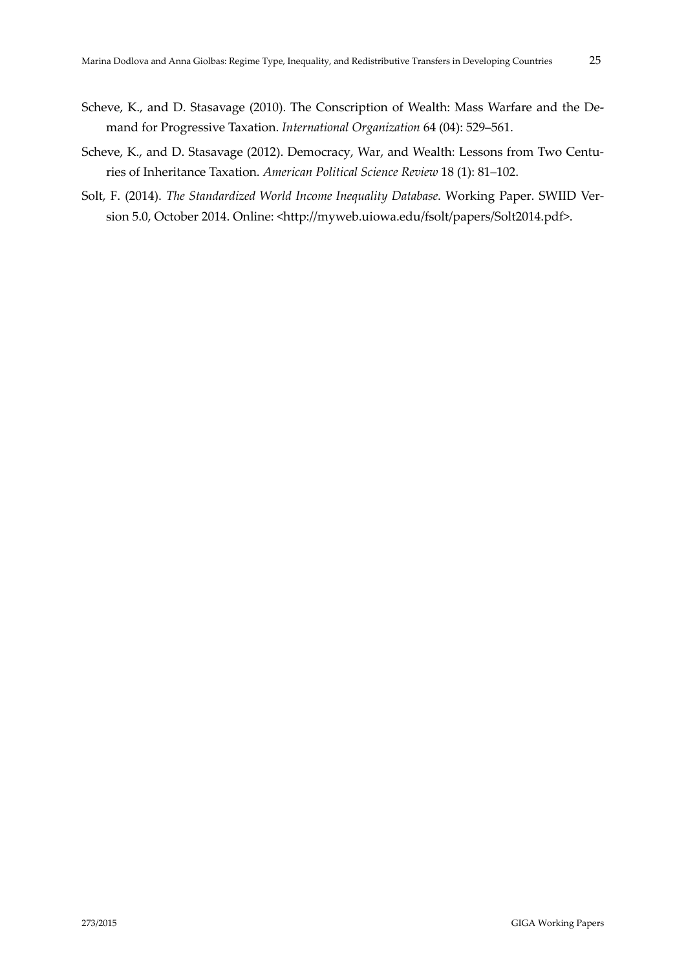- Scheve, K., and D. Stasavage (2010). The Conscription of Wealth: Mass Warfare and the De‐ mand for Progressive Taxation. *International Organization* 64 (04): 529–561.
- Scheve, K., and D. Stasavage (2012). Democracy, War, and Wealth: Lessons from Two Centuries of Inheritance Taxation. *American Political Science Review* 18 (1): 81–102.
- Solt, F. (2014). *The Standardized World Income Inequality Database*. Working Paper. SWIID Ver‐ sion 5.0, October 2014. Online: <http://myweb.uiowa.edu/fsolt/papers/Solt2014.pdf>.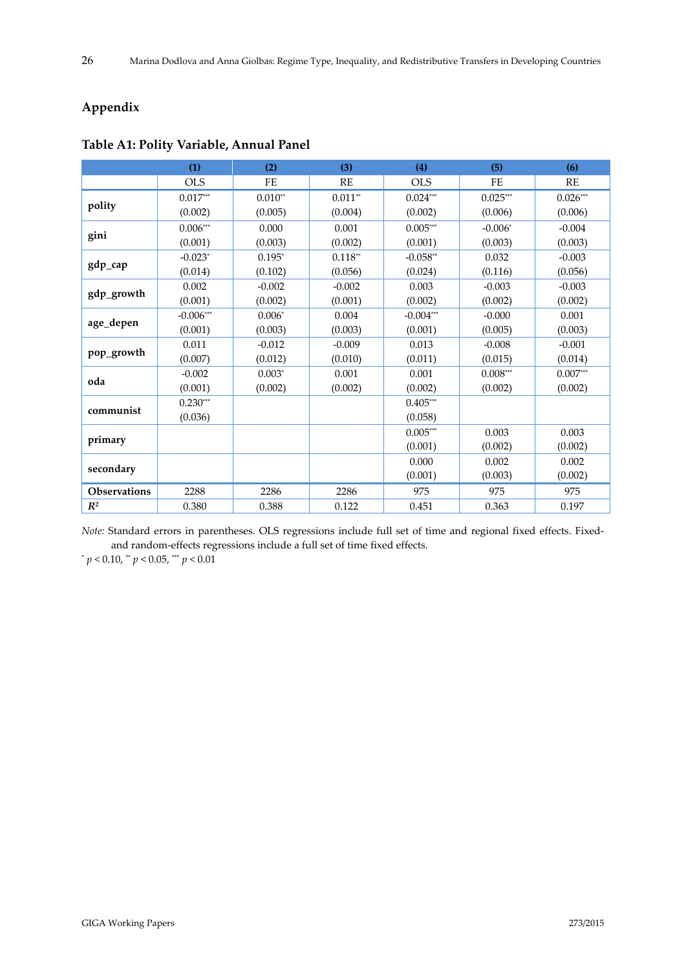# **Appendix**

|                     | (1)                    | (2)                | (3)       | (4)         | (5)        | (6)           |
|---------------------|------------------------|--------------------|-----------|-------------|------------|---------------|
|                     | <b>OLS</b>             | <b>FE</b>          | RE        | <b>OLS</b>  | <b>FE</b>  | RE            |
|                     | $0.017^{\ast\ast\ast}$ | $0.010^{\ast\ast}$ | $0.011**$ | $0.024***$  | $0.025***$ | $0.026\sp{*}$ |
| polity              | (0.002)                | (0.005)            | (0.004)   | (0.002)     | (0.006)    | (0.006)       |
|                     | $0.006***$             | 0.000              | 0.001     | $0.005***$  | $-0.006*$  | $-0.004$      |
| gini                | (0.001)                | (0.003)            | (0.002)   | (0.001)     | (0.003)    | (0.003)       |
|                     | $-0.023*$              | $0.195*$           | $0.118**$ | $-0.058**$  | 0.032      | $-0.003$      |
| gdp_cap             | (0.014)                | (0.102)            | (0.056)   | (0.024)     | (0.116)    | (0.056)       |
|                     | 0.002                  | $-0.002$           | $-0.002$  | 0.003       | $-0.003$   | $-0.003$      |
| gdp_growth          | (0.001)                | (0.002)            | (0.001)   | (0.002)     | (0.002)    | (0.002)       |
|                     | $-0.006***$            | $0.006*$           | 0.004     | $-0.004***$ | $-0.000$   | 0.001         |
| age_depen           | (0.001)                | (0.003)            | (0.003)   | (0.001)     | (0.005)    | (0.003)       |
|                     | 0.011                  | $-0.012$           | $-0.009$  | 0.013       | $-0.008$   | $-0.001$      |
| pop_growth          | (0.007)                | (0.012)            | (0.010)   | (0.011)     | (0.015)    | (0.014)       |
| oda                 | $-0.002$               | $0.003*$           | 0.001     | 0.001       | $0.008***$ | $0.007^{**}$  |
|                     | (0.001)                | (0.002)            | (0.002)   | (0.002)     | (0.002)    | (0.002)       |
| communist           | $0.230***$             |                    |           | $0.405***$  |            |               |
|                     | (0.036)                |                    |           | (0.058)     |            |               |
| primary             |                        |                    |           | $0.005***$  | 0.003      | 0.003         |
|                     |                        |                    |           | (0.001)     | (0.002)    | (0.002)       |
| secondary           |                        |                    |           | 0.000       | 0.002      | 0.002         |
|                     |                        |                    |           | (0.001)     | (0.003)    | (0.002)       |
| <b>Observations</b> | 2288                   | 2286               | 2286      | 975         | 975        | 975           |
| $R^2$               | 0.380                  | 0.388              | 0.122     | 0.451       | 0.363      | 0.197         |

# **Table A1: Polity Variable, Annual Panel**

*Note:* Standard errors in parentheses. OLS regressions include full set of time and regional fixed effects. Fixedand random‐effects regressions include a full set of time fixed effects.

 $^{*}p < 0.10,$   $^{**}p < 0.05,$   $^{***}p < 0.01$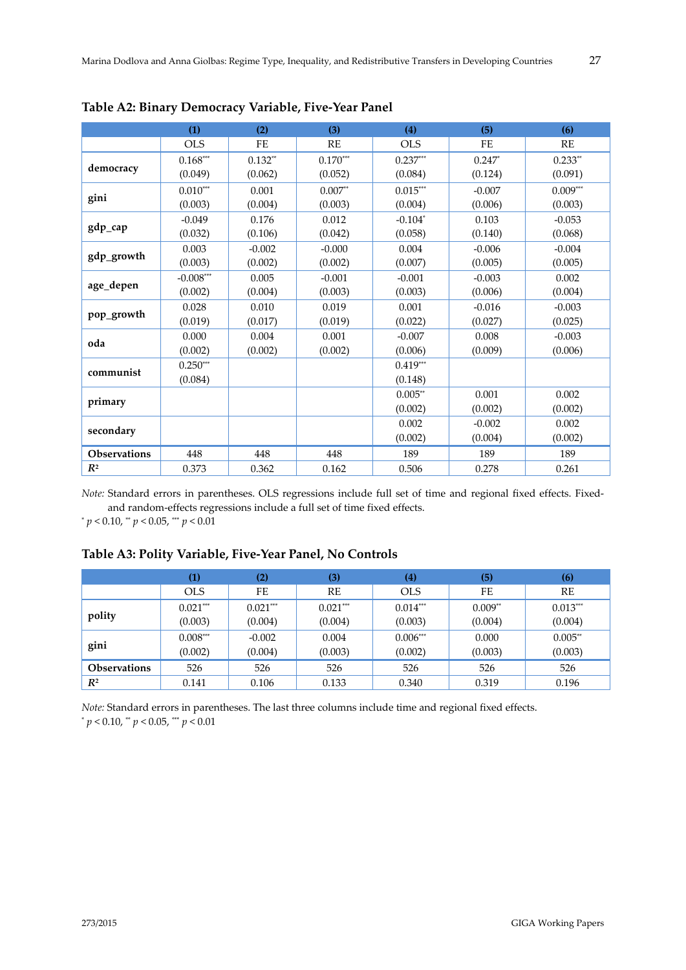|                     | (1)                                  | (2)       | (3)                | (4)        | (5)       | (6)        |
|---------------------|--------------------------------------|-----------|--------------------|------------|-----------|------------|
|                     | <b>OLS</b>                           | <b>FE</b> | <b>RE</b>          | <b>OLS</b> | <b>FE</b> | RE         |
|                     | $0.168***$                           | $0.132**$ | $0.170***$         | $0.237***$ | $0.247*$  | $0.233**$  |
| democracy           | (0.049)                              | (0.062)   | (0.052)            | (0.084)    | (0.124)   | (0.091)    |
|                     | $0.010***$                           | 0.001     | $0.007^{\ast\ast}$ | $0.015***$ | $-0.007$  | $0.009***$ |
| gini                | (0.003)                              | (0.004)   | (0.003)            | (0.004)    | (0.006)   | (0.003)    |
|                     | $-0.049$                             | 0.176     | 0.012              | $-0.104*$  | 0.103     | $-0.053$   |
| gdp_cap             | (0.032)                              | (0.106)   | (0.042)            | (0.058)    | (0.140)   | (0.068)    |
|                     | 0.003                                | $-0.002$  | $-0.000$           | 0.004      | $-0.006$  | $-0.004$   |
| gdp_growth          | (0.003)                              | (0.002)   | (0.002)            | (0.007)    | (0.005)   | (0.005)    |
|                     | $\textnormal{-}0.008^{\ast\ast\ast}$ | 0.005     | $-0.001$           | $-0.001$   | $-0.003$  | 0.002      |
| age_depen           | (0.002)                              | (0.004)   | (0.003)            | (0.003)    | (0.006)   | (0.004)    |
|                     | 0.028                                | 0.010     | 0.019              | 0.001      | $-0.016$  | $-0.003$   |
| pop_growth          | (0.019)                              | (0.017)   | (0.019)            | (0.022)    | (0.027)   | (0.025)    |
| oda                 | 0.000                                | 0.004     | 0.001              | $-0.007$   | 0.008     | $-0.003$   |
|                     | (0.002)                              | (0.002)   | (0.002)            | (0.006)    | (0.009)   | (0.006)    |
| communist           | $0.250***$                           |           |                    | $0.419***$ |           |            |
|                     | (0.084)                              |           |                    | (0.148)    |           |            |
|                     |                                      |           |                    | $0.005**$  | 0.001     | 0.002      |
| primary             |                                      |           |                    | (0.002)    | (0.002)   | (0.002)    |
|                     |                                      |           |                    | 0.002      | $-0.002$  | 0.002      |
| secondary           |                                      |           |                    | (0.002)    | (0.004)   | (0.002)    |
| <b>Observations</b> | 448                                  | 448       | 448                | 189        | 189       | 189        |
| $I\!\!R^2$          | 0.373                                | 0.362     | 0.162              | 0.506      | 0.278     | 0.261      |

**Table A2: Binary Democracy Variable, Five‐Year Panel**

*Note:* Standard errors in parentheses. OLS regressions include full set of time and regional fixed effects. Fixedand random‐effects regressions include a full set of time fixed effects.

\* *p* < 0.10, \*\* *p* < 0.05, \*\*\* *p* < 0.01

## **Table A3: Polity Variable, Five‐Year Panel, No Controls**

|                     | $\bf{(1)}$ | (2)        | (3)        | (4)        | (5)       | (6)        |
|---------------------|------------|------------|------------|------------|-----------|------------|
|                     | <b>OLS</b> | FE         | RE         | <b>OLS</b> | FE        | RE         |
|                     | $0.021***$ | $0.021***$ | $0.021***$ | $0.014***$ | $0.009**$ | $0.013***$ |
| polity              | (0.003)    | (0.004)    | (0.004)    | (0.003)    | (0.004)   | (0.004)    |
|                     | $0.008***$ | $-0.002$   | 0.004      | $0.006***$ | 0.000     | $0.005**$  |
| gini                | (0.002)    | (0.004)    | (0.003)    | (0.002)    | (0.003)   | (0.003)    |
| <b>Observations</b> | 526        | 526        | 526        | 526        | 526       | 526        |
| $R^2$               | 0.141      | 0.106      | 0.133      | 0.340      | 0.319     | 0.196      |

*Note:* Standard errors in parentheses. The last three columns include time and regional fixed effects. \* *p* < 0.10, \*\* *p* < 0.05, \*\*\* *p* < 0.01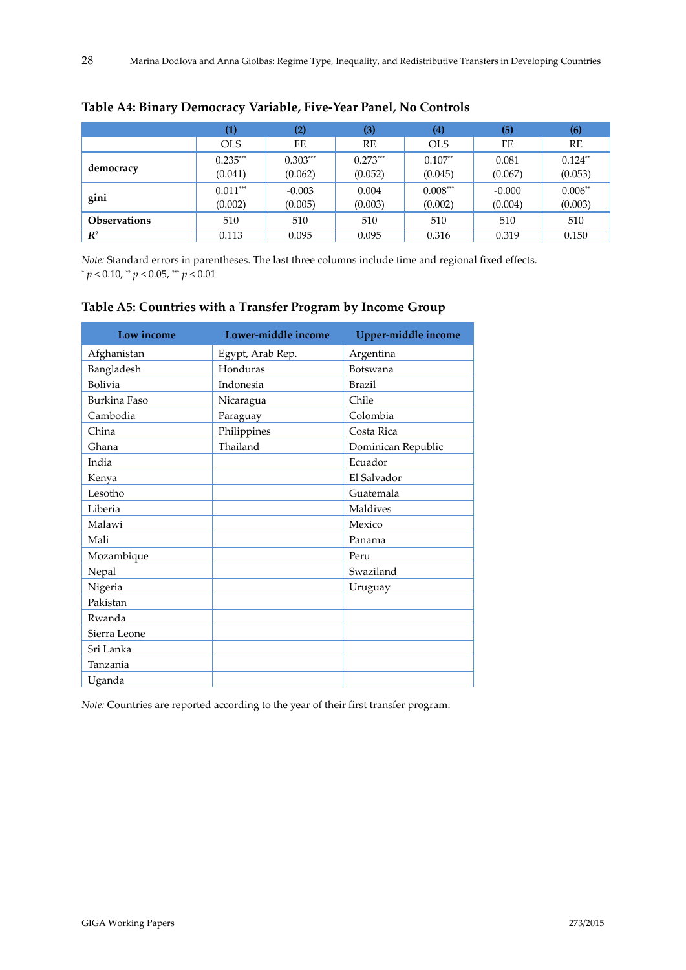|                     | $\left( 1\right)$ | (2)        | (3)        | $\left( 4\right)$ | (5)      | (6)       |
|---------------------|-------------------|------------|------------|-------------------|----------|-----------|
|                     | <b>OLS</b>        | FE         | RE         | <b>OLS</b>        | FE       | RE        |
|                     | $0.235***$        | $0.303***$ | $0.273***$ | $0.107**$         | 0.081    | $0.124**$ |
| democracy           | (0.041)           | (0.062)    | (0.052)    | (0.045)           | (0.067)  | (0.053)   |
|                     | $0.011***$        | $-0.003$   | 0.004      | $0.008***$        | $-0.000$ | $0.006**$ |
| gini                | (0.002)           | (0.005)    | (0.003)    | (0.002)           | (0.004)  | (0.003)   |
| <b>Observations</b> | 510               | 510        | 510        | 510               | 510      | 510       |
| $R^2$               | 0.113             | 0.095      | 0.095      | 0.316             | 0.319    | 0.150     |

## **Table A4: Binary Democracy Variable, Five‐Year Panel, No Controls**

*Note:* Standard errors in parentheses. The last three columns include time and regional fixed effects. \* *p* < 0.10, \*\* *p* < 0.05, \*\*\* *p* < 0.01

| Low income   | Lower-middle income | Upper-middle income |
|--------------|---------------------|---------------------|
| Afghanistan  | Egypt, Arab Rep.    | Argentina           |
| Bangladesh   | Honduras            | Botswana            |
| Bolivia      | Indonesia           | <b>Brazil</b>       |
| Burkina Faso | Nicaragua           | Chile               |
| Cambodia     | Paraguay            | Colombia            |
| China        | Philippines         | Costa Rica          |
| Ghana        | Thailand            | Dominican Republic  |
| India        |                     | Ecuador             |
| Kenya        |                     | El Salvador         |
| Lesotho      |                     | Guatemala           |
| Liberia      |                     | Maldives            |
| Malawi       |                     | Mexico              |
| Mali         |                     | Panama              |
| Mozambique   |                     | Peru                |
| Nepal        |                     | Swaziland           |
| Nigeria      |                     | Uruguay             |
| Pakistan     |                     |                     |
| Rwanda       |                     |                     |
| Sierra Leone |                     |                     |
| Sri Lanka    |                     |                     |
| Tanzania     |                     |                     |
| Uganda       |                     |                     |

#### **Table A5: Countries with a Transfer Program by Income Group**

*Note:* Countries are reported according to the year of their first transfer program.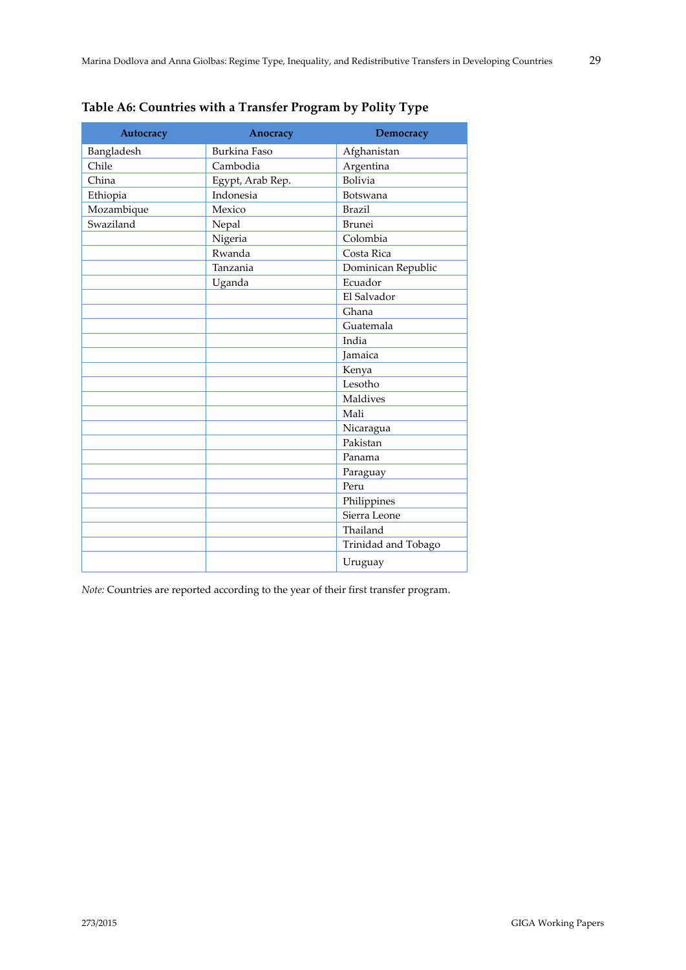| Autocracy  | Anocracy            | <b>Democracy</b>    |
|------------|---------------------|---------------------|
| Bangladesh | <b>Burkina Faso</b> | Afghanistan         |
| Chile      | Cambodia            | Argentina           |
| China      | Egypt, Arab Rep.    | Bolivia             |
| Ethiopia   | Indonesia           | Botswana            |
| Mozambique | Mexico              | <b>Brazil</b>       |
| Swaziland  | Nepal               | <b>Brunei</b>       |
|            | Nigeria             | Colombia            |
|            | Rwanda              | Costa Rica          |
|            | Tanzania            | Dominican Republic  |
|            | Uganda              | Ecuador             |
|            |                     | El Salvador         |
|            |                     | Ghana               |
|            |                     | Guatemala           |
|            |                     | India               |
|            |                     | Jamaica             |
|            |                     | Kenya               |
|            |                     | Lesotho             |
|            |                     | Maldives            |
|            |                     | Mali                |
|            |                     | Nicaragua           |
|            |                     | Pakistan            |
|            |                     | Panama              |
|            |                     | Paraguay            |
|            |                     | Peru                |
|            |                     | Philippines         |
|            |                     | Sierra Leone        |
|            |                     | Thailand            |
|            |                     | Trinidad and Tobago |
|            |                     | Uruguay             |

*Note:* Countries are reported according to the year of their first transfer program.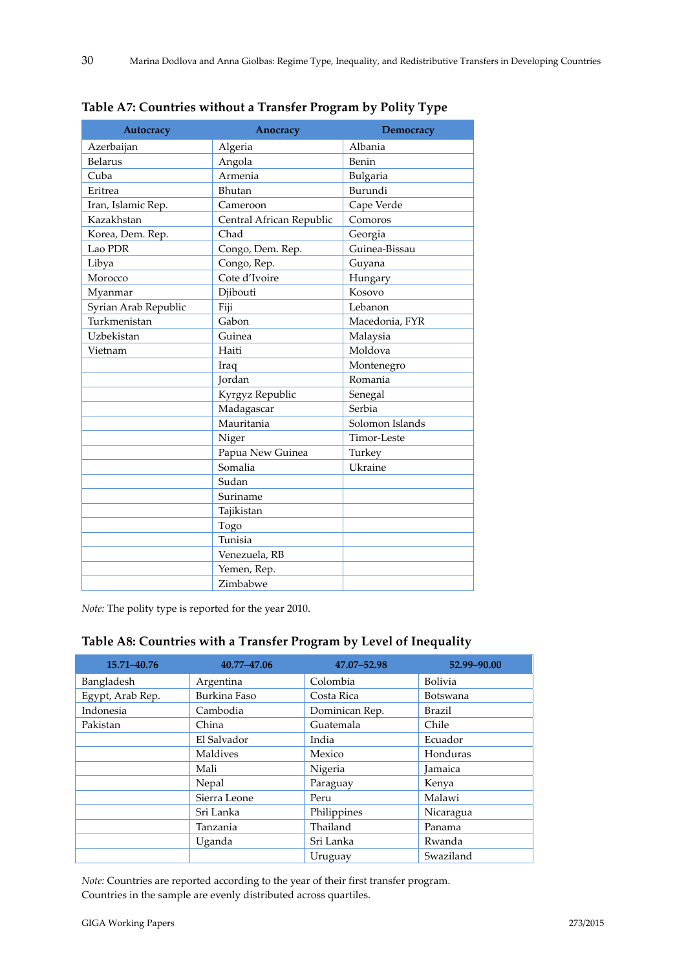| Autocracy            | Anocracy                 | Democracy       |  |
|----------------------|--------------------------|-----------------|--|
| Azerbaijan           | Algeria                  | Albania         |  |
| <b>Belarus</b>       | Angola                   | Benin           |  |
| Cuba                 | Armenia                  | Bulgaria        |  |
| Eritrea              | Bhutan                   | Burundi         |  |
| Iran, Islamic Rep.   | Cameroon                 | Cape Verde      |  |
| Kazakhstan           | Central African Republic | Comoros         |  |
| Korea, Dem. Rep.     | Chad                     | Georgia         |  |
| Lao PDR              | Congo, Dem. Rep.         | Guinea-Bissau   |  |
| Libya                | Congo, Rep.              | Guyana          |  |
| Morocco              | Cote d'Ivoire            | Hungary         |  |
| Myanmar              | Djibouti                 | Kosovo          |  |
| Syrian Arab Republic | Fiji                     | Lebanon         |  |
| Turkmenistan         | Gabon                    | Macedonia, FYR  |  |
| Uzbekistan           | Guinea                   | Malaysia        |  |
| Vietnam              | Haiti                    | Moldova         |  |
|                      | Iraq                     | Montenegro      |  |
|                      | Jordan                   | Romania         |  |
|                      | Kyrgyz Republic          | Senegal         |  |
|                      | Madagascar               | Serbia          |  |
|                      | Mauritania               | Solomon Islands |  |
|                      | Niger                    | Timor-Leste     |  |
|                      | Papua New Guinea         | Turkey          |  |
|                      | Somalia                  | Ukraine         |  |
|                      | Sudan                    |                 |  |
|                      | Suriname                 |                 |  |
|                      | Tajikistan               |                 |  |
|                      | Togo                     |                 |  |
|                      | Tunisia                  |                 |  |
|                      | Venezuela, RB            |                 |  |
|                      | Yemen, Rep.              |                 |  |
|                      | Zimbabwe                 |                 |  |

**Table A7: Countries without a Transfer Program by Polity Type**

*Note:* The polity type is reported for the year 2010.

# **Table A8: Countries with a Transfer Program by Level of Inequality**

| 15.71-40.76      | 40.77-47.06  | 47.07-52.98    | 52.99-90.00     |
|------------------|--------------|----------------|-----------------|
| Bangladesh       | Argentina    | Colombia       | Bolivia         |
| Egypt, Arab Rep. | Burkina Faso | Costa Rica     | <b>Botswana</b> |
| Indonesia        | Cambodia     | Dominican Rep. | Brazil          |
| Pakistan         | China        | Guatemala      | Chile           |
|                  | El Salvador  | India          | Ecuador         |
|                  | Maldives     | Mexico         | Honduras        |
|                  | Mali         | Nigeria        | Jamaica         |
|                  | Nepal        | Paraguay       | Kenya           |
|                  | Sierra Leone | Peru           | Malawi          |
|                  | Sri Lanka    | Philippines    | Nicaragua       |
|                  | Tanzania     | Thailand       | Panama          |
|                  | Uganda       | Sri Lanka      | Rwanda          |
|                  |              | Uruguay        | Swaziland       |

*Note:* Countries are reported according to the year of their first transfer program. Countries in the sample are evenly distributed across quartiles.